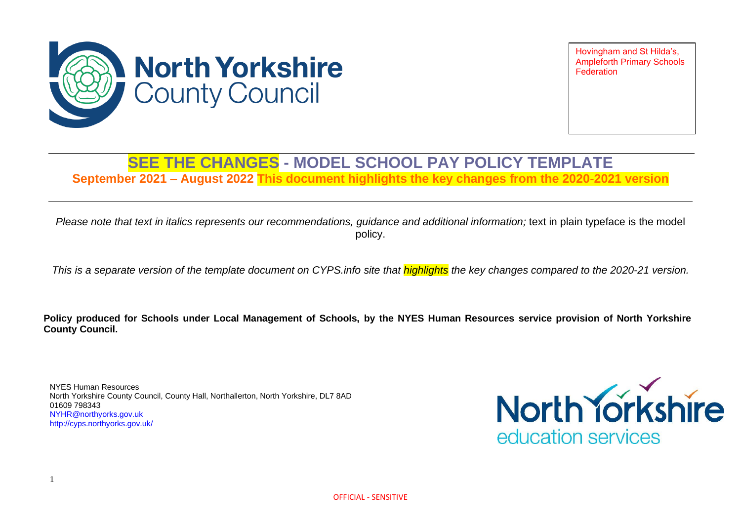

Hovingham and St Hilda's, Ampleforth Primary Schools **Federation** 

## **SEE THE CHANGES - MODEL SCHOOL PAY POLICY TEMPLATE**

**September 2021 – August 2022 This document highlights the key changes from the 2020-2021 version**

*Please note that text in italics represents our recommendations, guidance and additional information;* text in plain typeface is the model policy.

*This is a separate version of the template document on CYPS.info site that highlights the key changes compared to the 2020-21 version.*

**Policy produced for Schools under Local Management of Schools, by the NYES Human Resources service provision of North Yorkshire County Council.**

NYES Human Resources North Yorkshire County Council, County Hall, Northallerton, North Yorkshire, DL7 8AD 01609 798343 [NYHR@northyorks.gov.uk](mailto:NYHR@northyorks.gov.uk) <http://cyps.northyorks.gov.uk/>

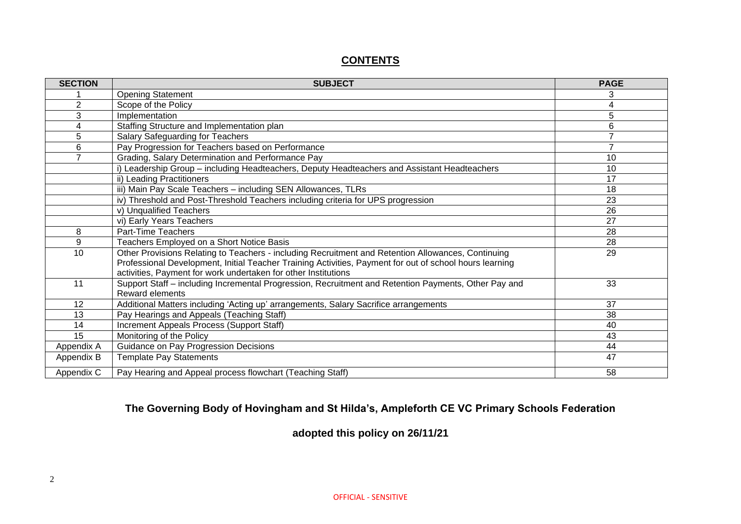#### **CONTENTS**

| <b>SECTION</b> | <b>SUBJECT</b>                                                                                          | <b>PAGE</b>    |
|----------------|---------------------------------------------------------------------------------------------------------|----------------|
|                | <b>Opening Statement</b>                                                                                | 3              |
| $\overline{2}$ | Scope of the Policy                                                                                     | 4              |
| 3              | Implementation                                                                                          | 5              |
| 4              | Staffing Structure and Implementation plan                                                              | 6              |
| 5              | Salary Safeguarding for Teachers                                                                        | 7              |
| 6              | Pay Progression for Teachers based on Performance                                                       | $\overline{7}$ |
| $\overline{7}$ | Grading, Salary Determination and Performance Pay                                                       | 10             |
|                | i) Leadership Group - including Headteachers, Deputy Headteachers and Assistant Headteachers            | 10             |
|                | ii) Leading Practitioners                                                                               | 17             |
|                | iii) Main Pay Scale Teachers - including SEN Allowances, TLRs                                           | 18             |
|                | iv) Threshold and Post-Threshold Teachers including criteria for UPS progression                        | 23             |
|                | v) Unqualified Teachers                                                                                 | 26             |
|                | vi) Early Years Teachers                                                                                | 27             |
| 8              | Part-Time Teachers                                                                                      | 28             |
| 9              | Teachers Employed on a Short Notice Basis                                                               | 28             |
| 10             | Other Provisions Relating to Teachers - including Recruitment and Retention Allowances, Continuing      | 29             |
|                | Professional Development, Initial Teacher Training Activities, Payment for out of school hours learning |                |
|                | activities, Payment for work undertaken for other Institutions                                          |                |
| 11             | Support Staff - including Incremental Progression, Recruitment and Retention Payments, Other Pay and    | 33             |
|                | Reward elements                                                                                         |                |
| 12             | Additional Matters including 'Acting up' arrangements, Salary Sacrifice arrangements                    | 37             |
| 13             | Pay Hearings and Appeals (Teaching Staff)                                                               | 38             |
| 14             | Increment Appeals Process (Support Staff)                                                               | 40             |
| 15             | Monitoring of the Policy                                                                                | 43             |
| Appendix A     | Guidance on Pay Progression Decisions                                                                   | 44             |
| Appendix B     | <b>Template Pay Statements</b>                                                                          | 47             |
| Appendix C     | Pay Hearing and Appeal process flowchart (Teaching Staff)                                               | 58             |

#### **The Governing Body of Hovingham and St Hilda's, Ampleforth CE VC Primary Schools Federation**

**adopted this policy on 26/11/21**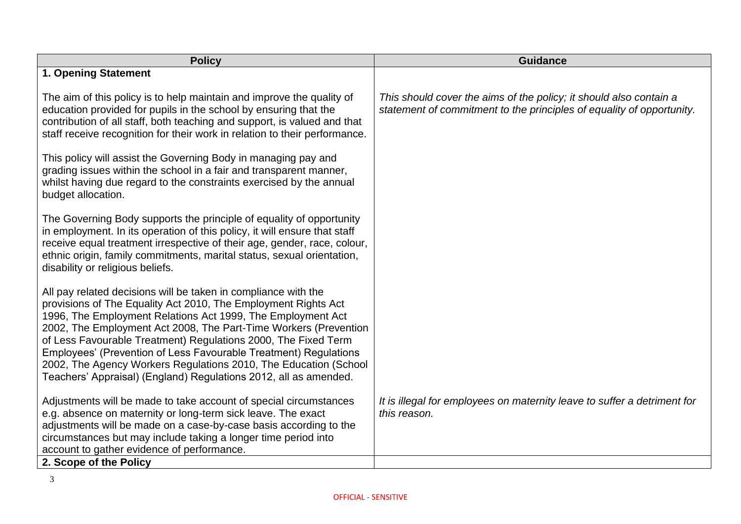| <b>Policy</b>                                                                                                                                                                                                                                                                                                                                                                                                                                                                                                                                     | <b>Guidance</b>                                                                                                                             |
|---------------------------------------------------------------------------------------------------------------------------------------------------------------------------------------------------------------------------------------------------------------------------------------------------------------------------------------------------------------------------------------------------------------------------------------------------------------------------------------------------------------------------------------------------|---------------------------------------------------------------------------------------------------------------------------------------------|
| 1. Opening Statement                                                                                                                                                                                                                                                                                                                                                                                                                                                                                                                              |                                                                                                                                             |
| The aim of this policy is to help maintain and improve the quality of<br>education provided for pupils in the school by ensuring that the<br>contribution of all staff, both teaching and support, is valued and that<br>staff receive recognition for their work in relation to their performance.                                                                                                                                                                                                                                               | This should cover the aims of the policy; it should also contain a<br>statement of commitment to the principles of equality of opportunity. |
| This policy will assist the Governing Body in managing pay and<br>grading issues within the school in a fair and transparent manner,<br>whilst having due regard to the constraints exercised by the annual<br>budget allocation.                                                                                                                                                                                                                                                                                                                 |                                                                                                                                             |
| The Governing Body supports the principle of equality of opportunity<br>in employment. In its operation of this policy, it will ensure that staff<br>receive equal treatment irrespective of their age, gender, race, colour,<br>ethnic origin, family commitments, marital status, sexual orientation,<br>disability or religious beliefs.                                                                                                                                                                                                       |                                                                                                                                             |
| All pay related decisions will be taken in compliance with the<br>provisions of The Equality Act 2010, The Employment Rights Act<br>1996, The Employment Relations Act 1999, The Employment Act<br>2002, The Employment Act 2008, The Part-Time Workers (Prevention<br>of Less Favourable Treatment) Regulations 2000, The Fixed Term<br>Employees' (Prevention of Less Favourable Treatment) Regulations<br>2002, The Agency Workers Regulations 2010, The Education (School<br>Teachers' Appraisal) (England) Regulations 2012, all as amended. |                                                                                                                                             |
| Adjustments will be made to take account of special circumstances<br>e.g. absence on maternity or long-term sick leave. The exact<br>adjustments will be made on a case-by-case basis according to the<br>circumstances but may include taking a longer time period into<br>account to gather evidence of performance.                                                                                                                                                                                                                            | It is illegal for employees on maternity leave to suffer a detriment for<br>this reason.                                                    |
| 2. Scope of the Policy                                                                                                                                                                                                                                                                                                                                                                                                                                                                                                                            |                                                                                                                                             |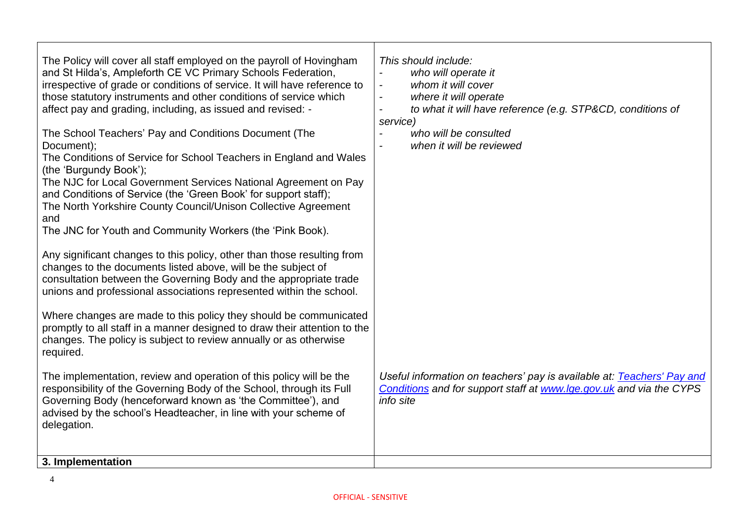| The Policy will cover all staff employed on the payroll of Hovingham<br>and St Hilda's, Ampleforth CE VC Primary Schools Federation,<br>irrespective of grade or conditions of service. It will have reference to<br>those statutory instruments and other conditions of service which<br>affect pay and grading, including, as issued and revised: -<br>The School Teachers' Pay and Conditions Document (The<br>Document);<br>The Conditions of Service for School Teachers in England and Wales<br>(the 'Burgundy Book');<br>The NJC for Local Government Services National Agreement on Pay<br>and Conditions of Service (the 'Green Book' for support staff);<br>The North Yorkshire County Council/Unison Collective Agreement<br>and<br>The JNC for Youth and Community Workers (the 'Pink Book).<br>Any significant changes to this policy, other than those resulting from<br>changes to the documents listed above, will be the subject of<br>consultation between the Governing Body and the appropriate trade<br>unions and professional associations represented within the school.<br>Where changes are made to this policy they should be communicated<br>promptly to all staff in a manner designed to draw their attention to the<br>changes. The policy is subject to review annually or as otherwise<br>required.<br>The implementation, review and operation of this policy will be the<br>responsibility of the Governing Body of the School, through its Full<br>Governing Body (henceforward known as 'the Committee'), and<br>advised by the school's Headteacher, in line with your scheme of<br>delegation. | This should include:<br>who will operate it<br>$\overline{\phantom{a}}$<br>whom it will cover<br>$\overline{a}$<br>where it will operate<br>$\blacksquare$<br>to what it will have reference (e.g. STP&CD, conditions of<br>$\overline{a}$<br>service)<br>who will be consulted<br>when it will be reviewed<br>Useful information on teachers' pay is available at: Teachers' Pay and<br>Conditions and for support staff at www.lge.gov.uk and via the CYPS<br>info site |
|---------------------------------------------------------------------------------------------------------------------------------------------------------------------------------------------------------------------------------------------------------------------------------------------------------------------------------------------------------------------------------------------------------------------------------------------------------------------------------------------------------------------------------------------------------------------------------------------------------------------------------------------------------------------------------------------------------------------------------------------------------------------------------------------------------------------------------------------------------------------------------------------------------------------------------------------------------------------------------------------------------------------------------------------------------------------------------------------------------------------------------------------------------------------------------------------------------------------------------------------------------------------------------------------------------------------------------------------------------------------------------------------------------------------------------------------------------------------------------------------------------------------------------------------------------------------------------------------------------------------------------------|---------------------------------------------------------------------------------------------------------------------------------------------------------------------------------------------------------------------------------------------------------------------------------------------------------------------------------------------------------------------------------------------------------------------------------------------------------------------------|
| 3. Implementation                                                                                                                                                                                                                                                                                                                                                                                                                                                                                                                                                                                                                                                                                                                                                                                                                                                                                                                                                                                                                                                                                                                                                                                                                                                                                                                                                                                                                                                                                                                                                                                                                     |                                                                                                                                                                                                                                                                                                                                                                                                                                                                           |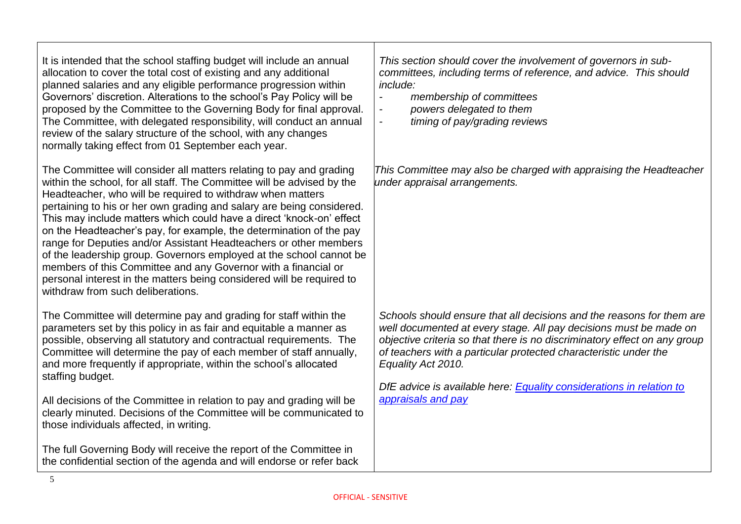It is intended that the school staffing budget will include an annual allocation to cover the total cost of existing and any additional planned salaries and any eligible performance progression within Governors' discretion. Alterations to the school's Pay Policy will be proposed by the Committee to the Governing Body for final approval. The Committee, with delegated responsibility, will conduct an annual review of the salary structure of the school, with any changes normally taking effect from 01 September each year.

The Committee will consider all matters relating to pay and grading within the school, for all staff. The Committee will be advised by the Headteacher, who will be required to withdraw when matters pertaining to his or her own grading and salary are being considered. This may include matters which could have a direct 'knock-on' effect on the Headteacher's pay, for example, the determination of the pay range for Deputies and/or Assistant Headteachers or other members of the leadership group. Governors employed at the school cannot be members of this Committee and any Governor with a financial or personal interest in the matters being considered will be required to withdraw from such deliberations.

The Committee will determine pay and grading for staff within the parameters set by this policy in as fair and equitable a manner as possible, observing all statutory and contractual requirements. The Committee will determine the pay of each member of staff annually, and more frequently if appropriate, within the school's allocated staffing budget.

All decisions of the Committee in relation to pay and grading will be clearly minuted. Decisions of the Committee will be communicated to those individuals affected, in writing.

The full Governing Body will receive the report of the Committee in the confidential section of the agenda and will endorse or refer back *This section should cover the involvement of governors in subcommittees, including terms of reference, and advice. This should include:*

- *- membership of committees*
- *- powers delegated to them*
- *- timing of pay/grading reviews*

*This Committee may also be charged with appraising the Headteacher under appraisal arrangements.* 

*Schools should ensure that all decisions and the reasons for them are well documented at every stage. All pay decisions must be made on objective criteria so that there is no discriminatory effect on any group of teachers with a particular protected characteristic under the Equality Act 2010.* 

*DfE advice is available here: [Equality considerations in relation to](https://www.gov.uk/government/publications/reviewing-and-revising-school-teachers-pay)  [appraisals and pay](https://www.gov.uk/government/publications/reviewing-and-revising-school-teachers-pay)*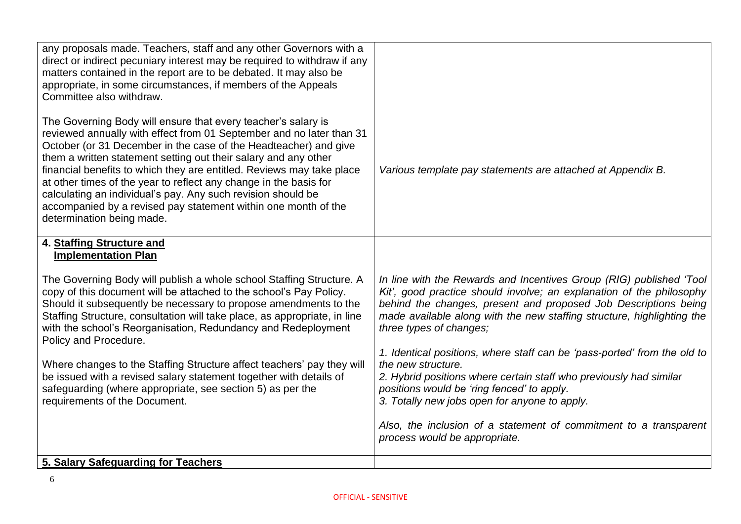| any proposals made. Teachers, staff and any other Governors with a<br>direct or indirect pecuniary interest may be required to withdraw if any<br>matters contained in the report are to be debated. It may also be<br>appropriate, in some circumstances, if members of the Appeals<br>Committee also withdraw.                                                                                                                                                                                                                                                                          |                                                                                                                                                                                                                                                                                                                     |
|-------------------------------------------------------------------------------------------------------------------------------------------------------------------------------------------------------------------------------------------------------------------------------------------------------------------------------------------------------------------------------------------------------------------------------------------------------------------------------------------------------------------------------------------------------------------------------------------|---------------------------------------------------------------------------------------------------------------------------------------------------------------------------------------------------------------------------------------------------------------------------------------------------------------------|
| The Governing Body will ensure that every teacher's salary is<br>reviewed annually with effect from 01 September and no later than 31<br>October (or 31 December in the case of the Headteacher) and give<br>them a written statement setting out their salary and any other<br>financial benefits to which they are entitled. Reviews may take place<br>at other times of the year to reflect any change in the basis for<br>calculating an individual's pay. Any such revision should be<br>accompanied by a revised pay statement within one month of the<br>determination being made. | Various template pay statements are attached at Appendix B.                                                                                                                                                                                                                                                         |
| 4. Staffing Structure and<br><b>Implementation Plan</b>                                                                                                                                                                                                                                                                                                                                                                                                                                                                                                                                   |                                                                                                                                                                                                                                                                                                                     |
| The Governing Body will publish a whole school Staffing Structure. A<br>copy of this document will be attached to the school's Pay Policy.<br>Should it subsequently be necessary to propose amendments to the<br>Staffing Structure, consultation will take place, as appropriate, in line<br>with the school's Reorganisation, Redundancy and Redeployment<br>Policy and Procedure.                                                                                                                                                                                                     | In line with the Rewards and Incentives Group (RIG) published 'Tool<br>Kit', good practice should involve; an explanation of the philosophy<br>behind the changes, present and proposed Job Descriptions being<br>made available along with the new staffing structure, highlighting the<br>three types of changes; |
| Where changes to the Staffing Structure affect teachers' pay they will<br>be issued with a revised salary statement together with details of<br>safeguarding (where appropriate, see section 5) as per the<br>requirements of the Document.                                                                                                                                                                                                                                                                                                                                               | 1. Identical positions, where staff can be 'pass-ported' from the old to<br>the new structure.<br>2. Hybrid positions where certain staff who previously had similar<br>positions would be 'ring fenced' to apply.<br>3. Totally new jobs open for anyone to apply.                                                 |
|                                                                                                                                                                                                                                                                                                                                                                                                                                                                                                                                                                                           | Also, the inclusion of a statement of commitment to a transparent<br>process would be appropriate.                                                                                                                                                                                                                  |
| 5. Salary Safeguarding for Teachers                                                                                                                                                                                                                                                                                                                                                                                                                                                                                                                                                       |                                                                                                                                                                                                                                                                                                                     |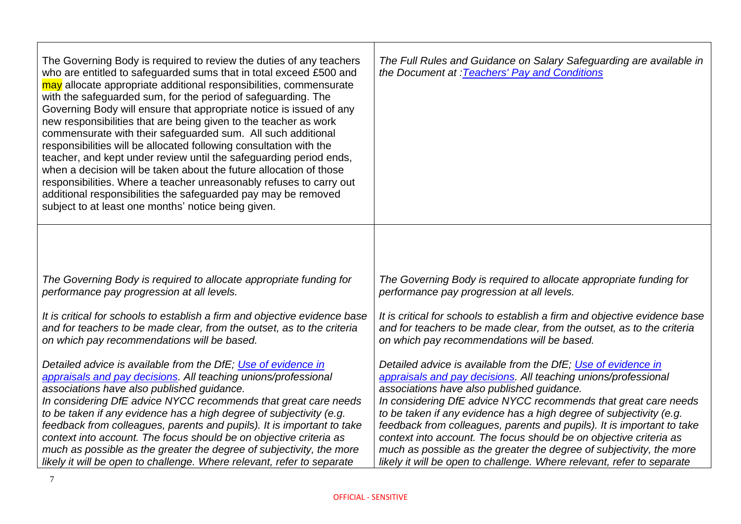| The Governing Body is required to review the duties of any teachers<br>who are entitled to safeguarded sums that in total exceed £500 and<br>may allocate appropriate additional responsibilities, commensurate<br>with the safeguarded sum, for the period of safeguarding. The<br>Governing Body will ensure that appropriate notice is issued of any<br>new responsibilities that are being given to the teacher as work<br>commensurate with their safeguarded sum. All such additional<br>responsibilities will be allocated following consultation with the<br>teacher, and kept under review until the safeguarding period ends,<br>when a decision will be taken about the future allocation of those<br>responsibilities. Where a teacher unreasonably refuses to carry out<br>additional responsibilities the safeguarded pay may be removed<br>subject to at least one months' notice being given. | The Full Rules and Guidance on Salary Safeguarding are available in<br>the Document at : Teachers' Pay and Conditions |
|---------------------------------------------------------------------------------------------------------------------------------------------------------------------------------------------------------------------------------------------------------------------------------------------------------------------------------------------------------------------------------------------------------------------------------------------------------------------------------------------------------------------------------------------------------------------------------------------------------------------------------------------------------------------------------------------------------------------------------------------------------------------------------------------------------------------------------------------------------------------------------------------------------------|-----------------------------------------------------------------------------------------------------------------------|
|                                                                                                                                                                                                                                                                                                                                                                                                                                                                                                                                                                                                                                                                                                                                                                                                                                                                                                               |                                                                                                                       |
| The Governing Body is required to allocate appropriate funding for                                                                                                                                                                                                                                                                                                                                                                                                                                                                                                                                                                                                                                                                                                                                                                                                                                            | The Governing Body is required to allocate appropriate funding for                                                    |
| performance pay progression at all levels.                                                                                                                                                                                                                                                                                                                                                                                                                                                                                                                                                                                                                                                                                                                                                                                                                                                                    | performance pay progression at all levels.                                                                            |
| It is critical for schools to establish a firm and objective evidence base                                                                                                                                                                                                                                                                                                                                                                                                                                                                                                                                                                                                                                                                                                                                                                                                                                    | It is critical for schools to establish a firm and objective evidence base                                            |
| and for teachers to be made clear, from the outset, as to the criteria                                                                                                                                                                                                                                                                                                                                                                                                                                                                                                                                                                                                                                                                                                                                                                                                                                        | and for teachers to be made clear, from the outset, as to the criteria                                                |
| on which pay recommendations will be based.                                                                                                                                                                                                                                                                                                                                                                                                                                                                                                                                                                                                                                                                                                                                                                                                                                                                   | on which pay recommendations will be based.                                                                           |
| Detailed advice is available from the DfE; Use of evidence in                                                                                                                                                                                                                                                                                                                                                                                                                                                                                                                                                                                                                                                                                                                                                                                                                                                 | Detailed advice is available from the DfE; Use of evidence in                                                         |
| appraisals and pay decisions. All teaching unions/professional                                                                                                                                                                                                                                                                                                                                                                                                                                                                                                                                                                                                                                                                                                                                                                                                                                                | appraisals and pay decisions. All teaching unions/professional                                                        |
| associations have also published guidance.                                                                                                                                                                                                                                                                                                                                                                                                                                                                                                                                                                                                                                                                                                                                                                                                                                                                    | associations have also published guidance.                                                                            |
| In considering DfE advice NYCC recommends that great care needs                                                                                                                                                                                                                                                                                                                                                                                                                                                                                                                                                                                                                                                                                                                                                                                                                                               | In considering DfE advice NYCC recommends that great care needs                                                       |
| to be taken if any evidence has a high degree of subjectivity (e.g.                                                                                                                                                                                                                                                                                                                                                                                                                                                                                                                                                                                                                                                                                                                                                                                                                                           | to be taken if any evidence has a high degree of subjectivity (e.g.                                                   |
| feedback from colleagues, parents and pupils). It is important to take                                                                                                                                                                                                                                                                                                                                                                                                                                                                                                                                                                                                                                                                                                                                                                                                                                        | feedback from colleagues, parents and pupils). It is important to take                                                |
| context into account. The focus should be on objective criteria as                                                                                                                                                                                                                                                                                                                                                                                                                                                                                                                                                                                                                                                                                                                                                                                                                                            | context into account. The focus should be on objective criteria as                                                    |
| much as possible as the greater the degree of subjectivity, the more                                                                                                                                                                                                                                                                                                                                                                                                                                                                                                                                                                                                                                                                                                                                                                                                                                          | much as possible as the greater the degree of subjectivity, the more                                                  |
| likely it will be open to challenge. Where relevant, refer to separate                                                                                                                                                                                                                                                                                                                                                                                                                                                                                                                                                                                                                                                                                                                                                                                                                                        | likely it will be open to challenge. Where relevant, refer to separate                                                |

ா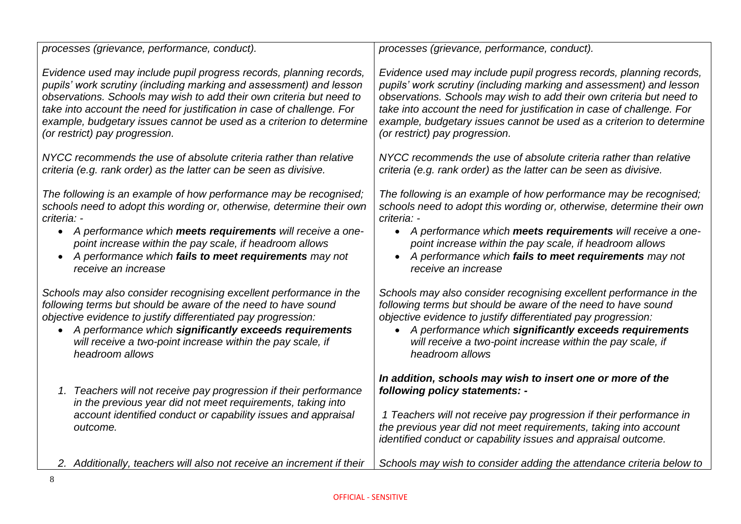| processes (grievance, performance, conduct).                                                                                                                                                                  | processes (grievance, performance, conduct).                                                                                                                                                                                                                                                              |
|---------------------------------------------------------------------------------------------------------------------------------------------------------------------------------------------------------------|-----------------------------------------------------------------------------------------------------------------------------------------------------------------------------------------------------------------------------------------------------------------------------------------------------------|
| Evidence used may include pupil progress records, planning records,                                                                                                                                           | Evidence used may include pupil progress records, planning records,                                                                                                                                                                                                                                       |
| pupils' work scrutiny (including marking and assessment) and lesson                                                                                                                                           | pupils' work scrutiny (including marking and assessment) and lesson                                                                                                                                                                                                                                       |
| observations. Schools may wish to add their own criteria but need to                                                                                                                                          | observations. Schools may wish to add their own criteria but need to                                                                                                                                                                                                                                      |
| take into account the need for justification in case of challenge. For                                                                                                                                        | take into account the need for justification in case of challenge. For                                                                                                                                                                                                                                    |
| example, budgetary issues cannot be used as a criterion to determine                                                                                                                                          | example, budgetary issues cannot be used as a criterion to determine                                                                                                                                                                                                                                      |
| (or restrict) pay progression.                                                                                                                                                                                | (or restrict) pay progression.                                                                                                                                                                                                                                                                            |
| NYCC recommends the use of absolute criteria rather than relative                                                                                                                                             | NYCC recommends the use of absolute criteria rather than relative                                                                                                                                                                                                                                         |
| criteria (e.g. rank order) as the latter can be seen as divisive.                                                                                                                                             | criteria (e.g. rank order) as the latter can be seen as divisive.                                                                                                                                                                                                                                         |
| The following is an example of how performance may be recognised;                                                                                                                                             | The following is an example of how performance may be recognised;                                                                                                                                                                                                                                         |
| schools need to adopt this wording or, otherwise, determine their own                                                                                                                                         | schools need to adopt this wording or, otherwise, determine their own                                                                                                                                                                                                                                     |
| criteria: -                                                                                                                                                                                                   | criteria: -                                                                                                                                                                                                                                                                                               |
| • A performance which meets requirements will receive a one-                                                                                                                                                  | • A performance which meets requirements will receive a one-                                                                                                                                                                                                                                              |
| point increase within the pay scale, if headroom allows                                                                                                                                                       | point increase within the pay scale, if headroom allows                                                                                                                                                                                                                                                   |
| A performance which fails to meet requirements may not                                                                                                                                                        | A performance which fails to meet requirements may not                                                                                                                                                                                                                                                    |
| receive an increase                                                                                                                                                                                           | receive an increase                                                                                                                                                                                                                                                                                       |
| Schools may also consider recognising excellent performance in the                                                                                                                                            | Schools may also consider recognising excellent performance in the                                                                                                                                                                                                                                        |
| following terms but should be aware of the need to have sound                                                                                                                                                 | following terms but should be aware of the need to have sound                                                                                                                                                                                                                                             |
| objective evidence to justify differentiated pay progression:                                                                                                                                                 | objective evidence to justify differentiated pay progression:                                                                                                                                                                                                                                             |
| A performance which significantly exceeds requirements                                                                                                                                                        | A performance which significantly exceeds requirements                                                                                                                                                                                                                                                    |
| $\bullet$                                                                                                                                                                                                     | $\bullet$                                                                                                                                                                                                                                                                                                 |
| will receive a two-point increase within the pay scale, if                                                                                                                                                    | will receive a two-point increase within the pay scale, if                                                                                                                                                                                                                                                |
| headroom allows                                                                                                                                                                                               | headroom allows                                                                                                                                                                                                                                                                                           |
| 1. Teachers will not receive pay progression if their performance<br>in the previous year did not meet requirements, taking into<br>account identified conduct or capability issues and appraisal<br>outcome. | In addition, schools may wish to insert one or more of the<br>following policy statements: -<br>1 Teachers will not receive pay progression if their performance in<br>the previous year did not meet requirements, taking into account<br>identified conduct or capability issues and appraisal outcome. |
| 2. Additionally, teachers will also not receive an increment if their                                                                                                                                         | Schools may wish to consider adding the attendance criteria below to                                                                                                                                                                                                                                      |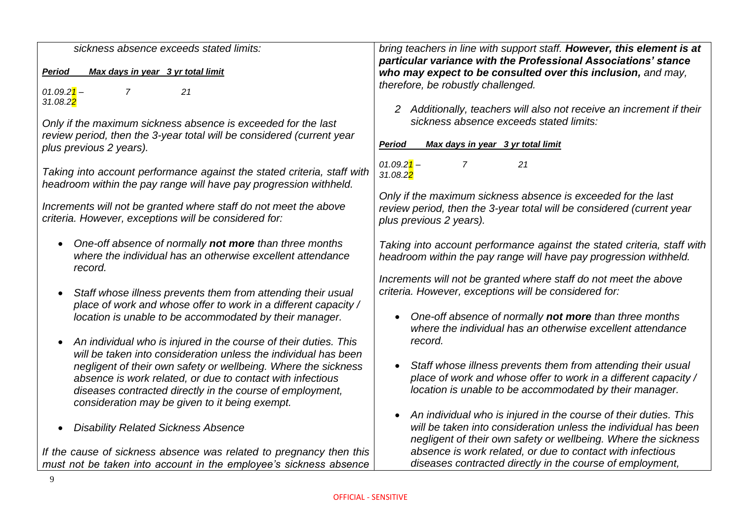| sickness absence exceeds stated limits:                                 | bring teachers in line with support staff. However, this element is at  |
|-------------------------------------------------------------------------|-------------------------------------------------------------------------|
|                                                                         | particular variance with the Professional Associations' stance          |
| Max days in year 3 yr total limit<br><b>Period</b>                      | who may expect to be consulted over this inclusion, and may,            |
|                                                                         | therefore, be robustly challenged.                                      |
| $01.09.21 -$<br>7<br>21                                                 |                                                                         |
| 31.08.2 <mark>2</mark>                                                  | 2 Additionally, teachers will also not receive an increment if their    |
| Only if the maximum sickness absence is exceeded for the last           | sickness absence exceeds stated limits:                                 |
| review period, then the 3-year total will be considered (current year   |                                                                         |
| plus previous 2 years).                                                 | Max days in year 3 yr total limit<br>Period                             |
|                                                                         |                                                                         |
| Taking into account performance against the stated criteria, staff with | $01.09.21 -$<br>$\overline{7}$<br>21                                    |
| headroom within the pay range will have pay progression withheld.       | 31.08.2 <mark>2</mark>                                                  |
|                                                                         | Only if the maximum sickness absence is exceeded for the last           |
| Increments will not be granted where staff do not meet the above        | review period, then the 3-year total will be considered (current year   |
| criteria. However, exceptions will be considered for:                   | plus previous 2 years).                                                 |
|                                                                         |                                                                         |
| One-off absence of normally not more than three months<br>$\bullet$     | Taking into account performance against the stated criteria, staff with |
| where the individual has an otherwise excellent attendance              | headroom within the pay range will have pay progression withheld.       |
| record.                                                                 |                                                                         |
|                                                                         | Increments will not be granted where staff do not meet the above        |
| Staff whose illness prevents them from attending their usual            | criteria. However, exceptions will be considered for:                   |
| place of work and whose offer to work in a different capacity /         |                                                                         |
| location is unable to be accommodated by their manager.                 | One-off absence of normally not more than three months                  |
|                                                                         | where the individual has an otherwise excellent attendance              |
| An individual who is injured in the course of their duties. This        | record.                                                                 |
| will be taken into consideration unless the individual has been         |                                                                         |
| negligent of their own safety or wellbeing. Where the sickness          | Staff whose illness prevents them from attending their usual            |
| absence is work related, or due to contact with infectious              | place of work and whose offer to work in a different capacity /         |
| diseases contracted directly in the course of employment,               | location is unable to be accommodated by their manager.                 |
| consideration may be given to it being exempt.                          |                                                                         |
|                                                                         | An individual who is injured in the course of their duties. This        |
| <b>Disability Related Sickness Absence</b>                              | will be taken into consideration unless the individual has been         |
|                                                                         | negligent of their own safety or wellbeing. Where the sickness          |
| If the cause of sickness absence was related to pregnancy then this     | absence is work related, or due to contact with infectious              |
| must not be taken into account in the employee's sickness absence       | diseases contracted directly in the course of employment,               |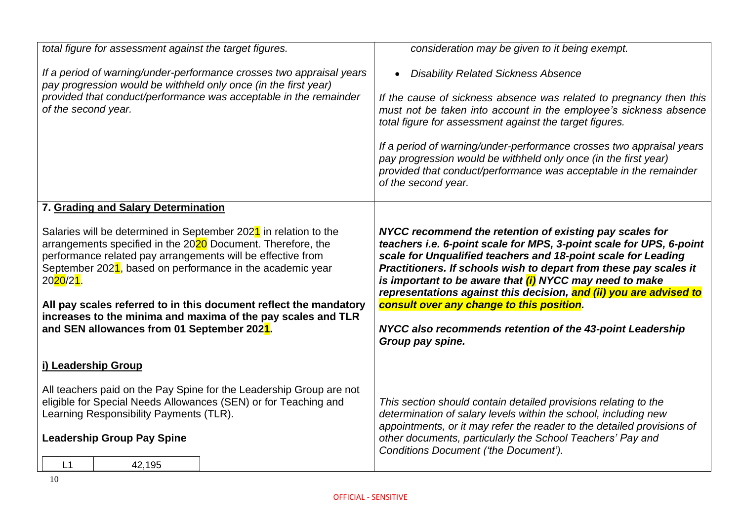| total figure for assessment against the target figures.                                                                                                                                                                                                                                                                                                                                                                                                                                                                         | consideration may be given to it being exempt.                                                                                                                                                                                                                                                                                                                                                                                                                                                                                      |
|---------------------------------------------------------------------------------------------------------------------------------------------------------------------------------------------------------------------------------------------------------------------------------------------------------------------------------------------------------------------------------------------------------------------------------------------------------------------------------------------------------------------------------|-------------------------------------------------------------------------------------------------------------------------------------------------------------------------------------------------------------------------------------------------------------------------------------------------------------------------------------------------------------------------------------------------------------------------------------------------------------------------------------------------------------------------------------|
| If a period of warning/under-performance crosses two appraisal years<br>pay progression would be withheld only once (in the first year)<br>provided that conduct/performance was acceptable in the remainder<br>of the second year.                                                                                                                                                                                                                                                                                             | <b>Disability Related Sickness Absence</b><br>If the cause of sickness absence was related to pregnancy then this<br>must not be taken into account in the employee's sickness absence<br>total figure for assessment against the target figures.<br>If a period of warning/under-performance crosses two appraisal years<br>pay progression would be withheld only once (in the first year)<br>provided that conduct/performance was acceptable in the remainder<br>of the second year.                                            |
| 7. Grading and Salary Determination<br>Salaries will be determined in September 2021 in relation to the<br>arrangements specified in the 2020 Document. Therefore, the<br>performance related pay arrangements will be effective from<br>September 2021, based on performance in the academic year<br>20 <mark>20</mark> /2 <mark>1</mark> .<br>All pay scales referred to in this document reflect the mandatory<br>increases to the minima and maxima of the pay scales and TLR<br>and SEN allowances from 01 September 2021. | NYCC recommend the retention of existing pay scales for<br>teachers i.e. 6-point scale for MPS, 3-point scale for UPS, 6-point<br>scale for Unqualified teachers and 18-point scale for Leading<br>Practitioners. If schools wish to depart from these pay scales it<br>is important to be aware that (i) NYCC may need to make<br>representations against this decision, and (ii) you are advised to<br>consult over any change to this position.<br>NYCC also recommends retention of the 43-point Leadership<br>Group pay spine. |
| i) Leadership Group<br>All teachers paid on the Pay Spine for the Leadership Group are not<br>eligible for Special Needs Allowances (SEN) or for Teaching and<br>Learning Responsibility Payments (TLR).<br><b>Leadership Group Pay Spine</b><br>L1<br>42,195                                                                                                                                                                                                                                                                   | This section should contain detailed provisions relating to the<br>determination of salary levels within the school, including new<br>appointments, or it may refer the reader to the detailed provisions of<br>other documents, particularly the School Teachers' Pay and<br>Conditions Document ('the Document').                                                                                                                                                                                                                 |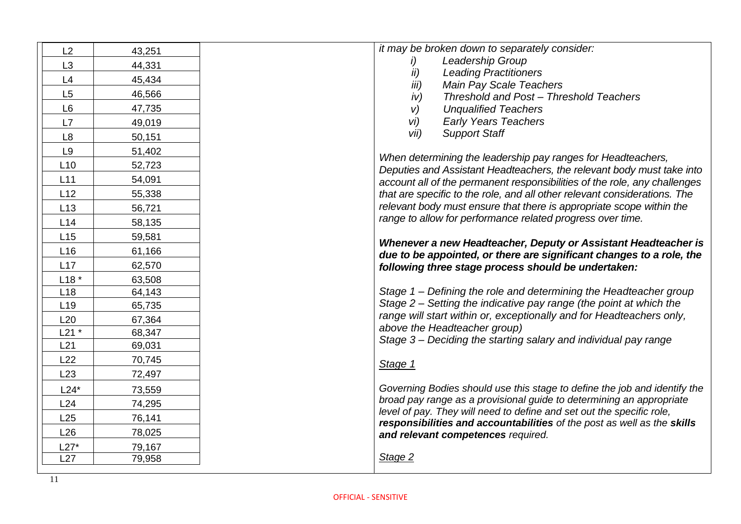| Leadership Group<br>i)<br>L <sub>3</sub><br>44,331<br>ii)<br><b>Leading Practitioners</b><br>L4<br>45,434<br>iii)<br><b>Main Pay Scale Teachers</b><br>L5<br>46,566<br>Threshold and Post - Threshold Teachers<br>iv)<br>L <sub>6</sub><br>47,735<br>V)<br><b>Unqualified Teachers</b><br>vi)<br><b>Early Years Teachers</b><br>L7<br>49,019<br>vii)<br><b>Support Staff</b><br>L <sub>8</sub><br>50,151<br>L <sub>9</sub><br>51,402<br>When determining the leadership pay ranges for Headteachers,<br>L10<br>52,723<br>Deputies and Assistant Headteachers, the relevant body must take into<br>L11<br>54,091<br>account all of the permanent responsibilities of the role, any challenges<br>L12<br>55,338<br>that are specific to the role, and all other relevant considerations. The<br>relevant body must ensure that there is appropriate scope within the<br>L13<br>56,721<br>range to allow for performance related progress over time.<br>L14<br>58,135<br>L15<br>59,581<br>Whenever a new Headteacher, Deputy or Assistant Headteacher is<br>L16<br>61,166<br>due to be appointed, or there are significant changes to a role, the<br>L17<br>62,570<br>following three stage process should be undertaken:<br>$L18*$<br>63,508<br>64,143<br>Stage 1 – Defining the role and determining the Headteacher group<br>L18<br>Stage 2 - Setting the indicative pay range (the point at which the<br>L <sub>19</sub><br>65,735<br>range will start within or, exceptionally and for Headteachers only,<br>L20<br>67,364<br>above the Headteacher group)<br>$L21$ *<br>68,347<br>Stage 3 – Deciding the starting salary and individual pay range<br>69,031<br>L21<br>L22<br>70,745<br>Stage 1<br>L23<br>72,497<br>Governing Bodies should use this stage to define the job and identify the<br>$L24*$<br>73,559<br>broad pay range as a provisional guide to determining an appropriate<br>L24<br>74,295<br>level of pay. They will need to define and set out the specific role,<br>L25<br>76,141<br>responsibilities and accountabilities of the post as well as the skills<br>L26<br>78,025<br>and relevant competences required.<br>$L27*$<br>79,167<br>Stage 2<br>L27<br>79,958 | L2 | 43,251 | it may be broken down to separately consider: |
|------------------------------------------------------------------------------------------------------------------------------------------------------------------------------------------------------------------------------------------------------------------------------------------------------------------------------------------------------------------------------------------------------------------------------------------------------------------------------------------------------------------------------------------------------------------------------------------------------------------------------------------------------------------------------------------------------------------------------------------------------------------------------------------------------------------------------------------------------------------------------------------------------------------------------------------------------------------------------------------------------------------------------------------------------------------------------------------------------------------------------------------------------------------------------------------------------------------------------------------------------------------------------------------------------------------------------------------------------------------------------------------------------------------------------------------------------------------------------------------------------------------------------------------------------------------------------------------------------------------------------------------------------------------------------------------------------------------------------------------------------------------------------------------------------------------------------------------------------------------------------------------------------------------------------------------------------------------------------------------------------------------------------------------------------------------------------------------------------------------------------------------------------------------------------------------|----|--------|-----------------------------------------------|
|                                                                                                                                                                                                                                                                                                                                                                                                                                                                                                                                                                                                                                                                                                                                                                                                                                                                                                                                                                                                                                                                                                                                                                                                                                                                                                                                                                                                                                                                                                                                                                                                                                                                                                                                                                                                                                                                                                                                                                                                                                                                                                                                                                                          |    |        |                                               |
|                                                                                                                                                                                                                                                                                                                                                                                                                                                                                                                                                                                                                                                                                                                                                                                                                                                                                                                                                                                                                                                                                                                                                                                                                                                                                                                                                                                                                                                                                                                                                                                                                                                                                                                                                                                                                                                                                                                                                                                                                                                                                                                                                                                          |    |        |                                               |
|                                                                                                                                                                                                                                                                                                                                                                                                                                                                                                                                                                                                                                                                                                                                                                                                                                                                                                                                                                                                                                                                                                                                                                                                                                                                                                                                                                                                                                                                                                                                                                                                                                                                                                                                                                                                                                                                                                                                                                                                                                                                                                                                                                                          |    |        |                                               |
|                                                                                                                                                                                                                                                                                                                                                                                                                                                                                                                                                                                                                                                                                                                                                                                                                                                                                                                                                                                                                                                                                                                                                                                                                                                                                                                                                                                                                                                                                                                                                                                                                                                                                                                                                                                                                                                                                                                                                                                                                                                                                                                                                                                          |    |        |                                               |
|                                                                                                                                                                                                                                                                                                                                                                                                                                                                                                                                                                                                                                                                                                                                                                                                                                                                                                                                                                                                                                                                                                                                                                                                                                                                                                                                                                                                                                                                                                                                                                                                                                                                                                                                                                                                                                                                                                                                                                                                                                                                                                                                                                                          |    |        |                                               |
|                                                                                                                                                                                                                                                                                                                                                                                                                                                                                                                                                                                                                                                                                                                                                                                                                                                                                                                                                                                                                                                                                                                                                                                                                                                                                                                                                                                                                                                                                                                                                                                                                                                                                                                                                                                                                                                                                                                                                                                                                                                                                                                                                                                          |    |        |                                               |
|                                                                                                                                                                                                                                                                                                                                                                                                                                                                                                                                                                                                                                                                                                                                                                                                                                                                                                                                                                                                                                                                                                                                                                                                                                                                                                                                                                                                                                                                                                                                                                                                                                                                                                                                                                                                                                                                                                                                                                                                                                                                                                                                                                                          |    |        |                                               |
|                                                                                                                                                                                                                                                                                                                                                                                                                                                                                                                                                                                                                                                                                                                                                                                                                                                                                                                                                                                                                                                                                                                                                                                                                                                                                                                                                                                                                                                                                                                                                                                                                                                                                                                                                                                                                                                                                                                                                                                                                                                                                                                                                                                          |    |        |                                               |
|                                                                                                                                                                                                                                                                                                                                                                                                                                                                                                                                                                                                                                                                                                                                                                                                                                                                                                                                                                                                                                                                                                                                                                                                                                                                                                                                                                                                                                                                                                                                                                                                                                                                                                                                                                                                                                                                                                                                                                                                                                                                                                                                                                                          |    |        |                                               |
|                                                                                                                                                                                                                                                                                                                                                                                                                                                                                                                                                                                                                                                                                                                                                                                                                                                                                                                                                                                                                                                                                                                                                                                                                                                                                                                                                                                                                                                                                                                                                                                                                                                                                                                                                                                                                                                                                                                                                                                                                                                                                                                                                                                          |    |        |                                               |
|                                                                                                                                                                                                                                                                                                                                                                                                                                                                                                                                                                                                                                                                                                                                                                                                                                                                                                                                                                                                                                                                                                                                                                                                                                                                                                                                                                                                                                                                                                                                                                                                                                                                                                                                                                                                                                                                                                                                                                                                                                                                                                                                                                                          |    |        |                                               |
|                                                                                                                                                                                                                                                                                                                                                                                                                                                                                                                                                                                                                                                                                                                                                                                                                                                                                                                                                                                                                                                                                                                                                                                                                                                                                                                                                                                                                                                                                                                                                                                                                                                                                                                                                                                                                                                                                                                                                                                                                                                                                                                                                                                          |    |        |                                               |
|                                                                                                                                                                                                                                                                                                                                                                                                                                                                                                                                                                                                                                                                                                                                                                                                                                                                                                                                                                                                                                                                                                                                                                                                                                                                                                                                                                                                                                                                                                                                                                                                                                                                                                                                                                                                                                                                                                                                                                                                                                                                                                                                                                                          |    |        |                                               |
|                                                                                                                                                                                                                                                                                                                                                                                                                                                                                                                                                                                                                                                                                                                                                                                                                                                                                                                                                                                                                                                                                                                                                                                                                                                                                                                                                                                                                                                                                                                                                                                                                                                                                                                                                                                                                                                                                                                                                                                                                                                                                                                                                                                          |    |        |                                               |
|                                                                                                                                                                                                                                                                                                                                                                                                                                                                                                                                                                                                                                                                                                                                                                                                                                                                                                                                                                                                                                                                                                                                                                                                                                                                                                                                                                                                                                                                                                                                                                                                                                                                                                                                                                                                                                                                                                                                                                                                                                                                                                                                                                                          |    |        |                                               |
|                                                                                                                                                                                                                                                                                                                                                                                                                                                                                                                                                                                                                                                                                                                                                                                                                                                                                                                                                                                                                                                                                                                                                                                                                                                                                                                                                                                                                                                                                                                                                                                                                                                                                                                                                                                                                                                                                                                                                                                                                                                                                                                                                                                          |    |        |                                               |
|                                                                                                                                                                                                                                                                                                                                                                                                                                                                                                                                                                                                                                                                                                                                                                                                                                                                                                                                                                                                                                                                                                                                                                                                                                                                                                                                                                                                                                                                                                                                                                                                                                                                                                                                                                                                                                                                                                                                                                                                                                                                                                                                                                                          |    |        |                                               |
|                                                                                                                                                                                                                                                                                                                                                                                                                                                                                                                                                                                                                                                                                                                                                                                                                                                                                                                                                                                                                                                                                                                                                                                                                                                                                                                                                                                                                                                                                                                                                                                                                                                                                                                                                                                                                                                                                                                                                                                                                                                                                                                                                                                          |    |        |                                               |
|                                                                                                                                                                                                                                                                                                                                                                                                                                                                                                                                                                                                                                                                                                                                                                                                                                                                                                                                                                                                                                                                                                                                                                                                                                                                                                                                                                                                                                                                                                                                                                                                                                                                                                                                                                                                                                                                                                                                                                                                                                                                                                                                                                                          |    |        |                                               |
|                                                                                                                                                                                                                                                                                                                                                                                                                                                                                                                                                                                                                                                                                                                                                                                                                                                                                                                                                                                                                                                                                                                                                                                                                                                                                                                                                                                                                                                                                                                                                                                                                                                                                                                                                                                                                                                                                                                                                                                                                                                                                                                                                                                          |    |        |                                               |
|                                                                                                                                                                                                                                                                                                                                                                                                                                                                                                                                                                                                                                                                                                                                                                                                                                                                                                                                                                                                                                                                                                                                                                                                                                                                                                                                                                                                                                                                                                                                                                                                                                                                                                                                                                                                                                                                                                                                                                                                                                                                                                                                                                                          |    |        |                                               |
|                                                                                                                                                                                                                                                                                                                                                                                                                                                                                                                                                                                                                                                                                                                                                                                                                                                                                                                                                                                                                                                                                                                                                                                                                                                                                                                                                                                                                                                                                                                                                                                                                                                                                                                                                                                                                                                                                                                                                                                                                                                                                                                                                                                          |    |        |                                               |
|                                                                                                                                                                                                                                                                                                                                                                                                                                                                                                                                                                                                                                                                                                                                                                                                                                                                                                                                                                                                                                                                                                                                                                                                                                                                                                                                                                                                                                                                                                                                                                                                                                                                                                                                                                                                                                                                                                                                                                                                                                                                                                                                                                                          |    |        |                                               |
|                                                                                                                                                                                                                                                                                                                                                                                                                                                                                                                                                                                                                                                                                                                                                                                                                                                                                                                                                                                                                                                                                                                                                                                                                                                                                                                                                                                                                                                                                                                                                                                                                                                                                                                                                                                                                                                                                                                                                                                                                                                                                                                                                                                          |    |        |                                               |
|                                                                                                                                                                                                                                                                                                                                                                                                                                                                                                                                                                                                                                                                                                                                                                                                                                                                                                                                                                                                                                                                                                                                                                                                                                                                                                                                                                                                                                                                                                                                                                                                                                                                                                                                                                                                                                                                                                                                                                                                                                                                                                                                                                                          |    |        |                                               |
|                                                                                                                                                                                                                                                                                                                                                                                                                                                                                                                                                                                                                                                                                                                                                                                                                                                                                                                                                                                                                                                                                                                                                                                                                                                                                                                                                                                                                                                                                                                                                                                                                                                                                                                                                                                                                                                                                                                                                                                                                                                                                                                                                                                          |    |        |                                               |
|                                                                                                                                                                                                                                                                                                                                                                                                                                                                                                                                                                                                                                                                                                                                                                                                                                                                                                                                                                                                                                                                                                                                                                                                                                                                                                                                                                                                                                                                                                                                                                                                                                                                                                                                                                                                                                                                                                                                                                                                                                                                                                                                                                                          |    |        |                                               |
|                                                                                                                                                                                                                                                                                                                                                                                                                                                                                                                                                                                                                                                                                                                                                                                                                                                                                                                                                                                                                                                                                                                                                                                                                                                                                                                                                                                                                                                                                                                                                                                                                                                                                                                                                                                                                                                                                                                                                                                                                                                                                                                                                                                          |    |        |                                               |
|                                                                                                                                                                                                                                                                                                                                                                                                                                                                                                                                                                                                                                                                                                                                                                                                                                                                                                                                                                                                                                                                                                                                                                                                                                                                                                                                                                                                                                                                                                                                                                                                                                                                                                                                                                                                                                                                                                                                                                                                                                                                                                                                                                                          |    |        |                                               |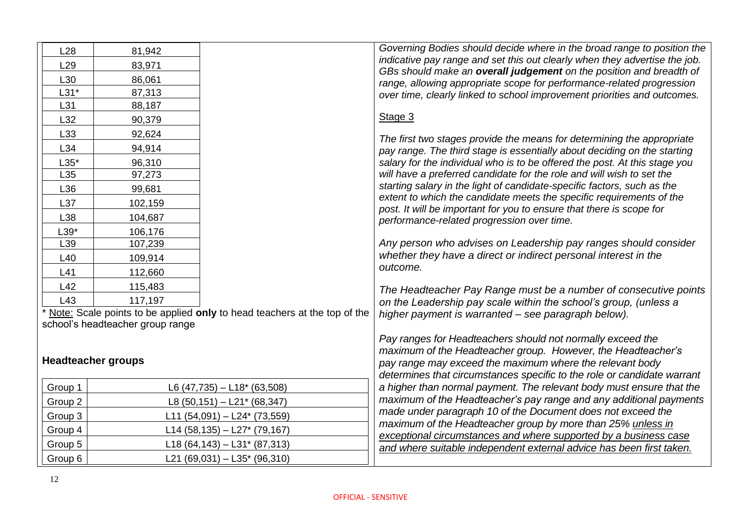| L28             | 81,942                           |                                                                            | Governing Bodies should decide where in the broad range to position the<br>indicative pay range and set this out clearly when they advertise the job. |
|-----------------|----------------------------------|----------------------------------------------------------------------------|-------------------------------------------------------------------------------------------------------------------------------------------------------|
| L <sub>29</sub> | 83,971                           |                                                                            | GBs should make an overall judgement on the position and breadth of                                                                                   |
| L30             | 86,061                           |                                                                            | range, allowing appropriate scope for performance-related progression                                                                                 |
| $L31*$          | 87,313                           |                                                                            | over time, clearly linked to school improvement priorities and outcomes.                                                                              |
| L31             | 88,187                           |                                                                            |                                                                                                                                                       |
| L32             | 90,379                           |                                                                            | Stage 3                                                                                                                                               |
| L33             | 92,624                           |                                                                            | The first two stages provide the means for determining the appropriate                                                                                |
| L34             | 94,914                           |                                                                            | pay range. The third stage is essentially about deciding on the starting                                                                              |
| $L35*$          | 96,310                           |                                                                            | salary for the individual who is to be offered the post. At this stage you                                                                            |
| L <sub>35</sub> | 97,273                           |                                                                            | will have a preferred candidate for the role and will wish to set the                                                                                 |
| L36             | 99,681                           |                                                                            | starting salary in the light of candidate-specific factors, such as the                                                                               |
| L37             | 102,159                          |                                                                            | extent to which the candidate meets the specific requirements of the<br>post. It will be important for you to ensure that there is scope for          |
| L38             | 104,687                          |                                                                            | performance-related progression over time.                                                                                                            |
| $L39*$          | 106,176                          |                                                                            |                                                                                                                                                       |
| L39             | 107,239                          |                                                                            | Any person who advises on Leadership pay ranges should consider                                                                                       |
| L40             | 109,914                          |                                                                            | whether they have a direct or indirect personal interest in the                                                                                       |
| L41             | 112,660                          |                                                                            | outcome.                                                                                                                                              |
| L42             | 115,483                          |                                                                            | The Headteacher Pay Range must be a number of consecutive points                                                                                      |
| L43             | 117,197                          |                                                                            | on the Leadership pay scale within the school's group, (unless a                                                                                      |
|                 |                                  | * Note: Scale points to be applied only to head teachers at the top of the | higher payment is warranted - see paragraph below).                                                                                                   |
|                 | school's headteacher group range |                                                                            |                                                                                                                                                       |
|                 |                                  |                                                                            | Pay ranges for Headteachers should not normally exceed the                                                                                            |
|                 | <b>Headteacher groups</b>        |                                                                            | maximum of the Headteacher group. However, the Headteacher's                                                                                          |
|                 |                                  |                                                                            | pay range may exceed the maximum where the relevant body<br>determines that circumstances specific to the role or candidate warrant                   |
| Group 1         |                                  | L6 (47,735) $-$ L18* (63,508)                                              | a higher than normal payment. The relevant body must ensure that the                                                                                  |
| Group 2         |                                  | L8 $(50, 151) - L21$ <sup>*</sup> $(68, 347)$                              | maximum of the Headteacher's pay range and any additional payments                                                                                    |
| Group 3         |                                  | L11 (54,091) - L24* (73,559)                                               | made under paragraph 10 of the Document does not exceed the                                                                                           |
| Group 4         |                                  | L14 (58,135) - L27* (79,167)                                               | maximum of the Headteacher group by more than 25% unless in<br>exceptional circumstances and where supported by a business case                       |
| Group 5         |                                  | L18 (64,143) - L31* (87,313)                                               | and where suitable independent external advice has been first taken.                                                                                  |
| Group 6         |                                  | L21 (69,031) $-$ L35 <sup>*</sup> (96,310)                                 |                                                                                                                                                       |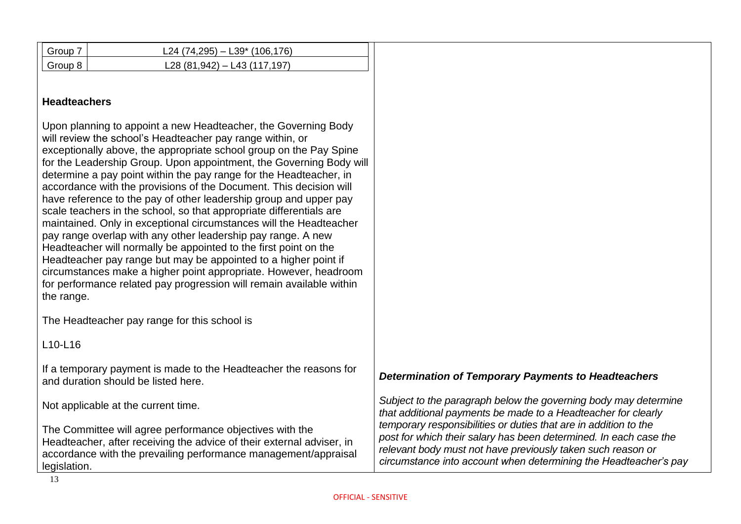| Group 7             | L24 (74,295) $-$ L39 <sup>*</sup> (106,176)                                                                                                                                                                                                                                                                                                                                                                                                                                                                                                                                                                                                                                                                                                                                                                                                                                                                                                                                               |                                                                                                                                                                                                                                                                          |
|---------------------|-------------------------------------------------------------------------------------------------------------------------------------------------------------------------------------------------------------------------------------------------------------------------------------------------------------------------------------------------------------------------------------------------------------------------------------------------------------------------------------------------------------------------------------------------------------------------------------------------------------------------------------------------------------------------------------------------------------------------------------------------------------------------------------------------------------------------------------------------------------------------------------------------------------------------------------------------------------------------------------------|--------------------------------------------------------------------------------------------------------------------------------------------------------------------------------------------------------------------------------------------------------------------------|
| Group 8             | L28 (81,942) - L43 (117,197)                                                                                                                                                                                                                                                                                                                                                                                                                                                                                                                                                                                                                                                                                                                                                                                                                                                                                                                                                              |                                                                                                                                                                                                                                                                          |
| <b>Headteachers</b> |                                                                                                                                                                                                                                                                                                                                                                                                                                                                                                                                                                                                                                                                                                                                                                                                                                                                                                                                                                                           |                                                                                                                                                                                                                                                                          |
| the range.          | Upon planning to appoint a new Headteacher, the Governing Body<br>will review the school's Headteacher pay range within, or<br>exceptionally above, the appropriate school group on the Pay Spine<br>for the Leadership Group. Upon appointment, the Governing Body will<br>determine a pay point within the pay range for the Headteacher, in<br>accordance with the provisions of the Document. This decision will<br>have reference to the pay of other leadership group and upper pay<br>scale teachers in the school, so that appropriate differentials are<br>maintained. Only in exceptional circumstances will the Headteacher<br>pay range overlap with any other leadership pay range. A new<br>Headteacher will normally be appointed to the first point on the<br>Headteacher pay range but may be appointed to a higher point if<br>circumstances make a higher point appropriate. However, headroom<br>for performance related pay progression will remain available within |                                                                                                                                                                                                                                                                          |
|                     | The Headteacher pay range for this school is                                                                                                                                                                                                                                                                                                                                                                                                                                                                                                                                                                                                                                                                                                                                                                                                                                                                                                                                              |                                                                                                                                                                                                                                                                          |
| L10-L16             |                                                                                                                                                                                                                                                                                                                                                                                                                                                                                                                                                                                                                                                                                                                                                                                                                                                                                                                                                                                           |                                                                                                                                                                                                                                                                          |
|                     | If a temporary payment is made to the Headteacher the reasons for<br>and duration should be listed here.                                                                                                                                                                                                                                                                                                                                                                                                                                                                                                                                                                                                                                                                                                                                                                                                                                                                                  | <b>Determination of Temporary Payments to Headteachers</b>                                                                                                                                                                                                               |
|                     | Not applicable at the current time.                                                                                                                                                                                                                                                                                                                                                                                                                                                                                                                                                                                                                                                                                                                                                                                                                                                                                                                                                       | Subject to the paragraph below the governing body may determine<br>that additional payments be made to a Headteacher for clearly                                                                                                                                         |
| legislation.        | The Committee will agree performance objectives with the<br>Headteacher, after receiving the advice of their external adviser, in<br>accordance with the prevailing performance management/appraisal                                                                                                                                                                                                                                                                                                                                                                                                                                                                                                                                                                                                                                                                                                                                                                                      | temporary responsibilities or duties that are in addition to the<br>post for which their salary has been determined. In each case the<br>relevant body must not have previously taken such reason or<br>circumstance into account when determining the Headteacher's pay |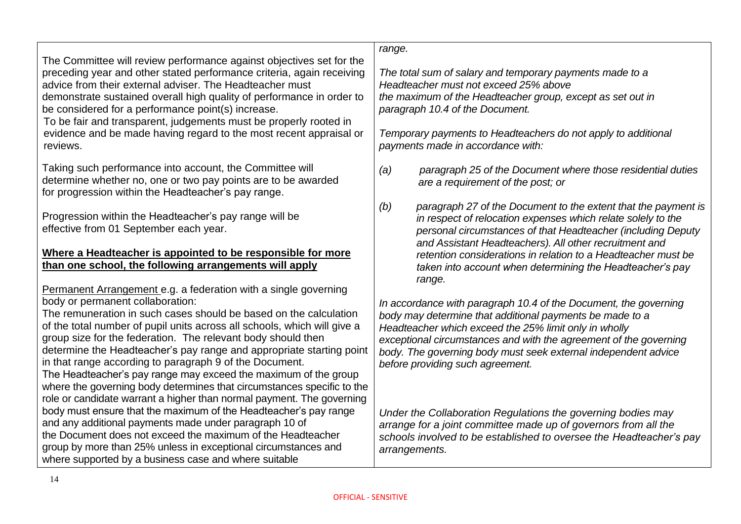| The Committee will review performance against objectives set for the  |
|-----------------------------------------------------------------------|
| preceding year and other stated performance criteria, again receiving |
| advice from their external adviser. The Headteacher must              |
|                                                                       |

demonstrate sustained overall high quality of performance in order to be considered for a performance point(s) increase.

To be fair and transparent, judgements must be properly rooted in evidence and be made having regard to the most recent appraisal or reviews.

Taking such performance into account, the Committee will determine whether no, one or two pay points are to be awarded for progression within the Headteacher's pay range.

Progression within the Headteacher's pay range will be effective from 01 September each year.

#### **Where a Headteacher is appointed to be responsible for more than one school, the following arrangements will apply**

Permanent Arrangement e.g. a federation with a single governing body or permanent collaboration:

The remuneration in such cases should be based on the calculation of the total number of pupil units across all schools, which will give a group size for the federation. The relevant body should then determine the Headteacher's pay range and appropriate starting point in that range according to paragraph 9 of the Document. The Headteacher's pay range may exceed the maximum of the group where the governing body determines that circumstances specific to the role or candidate warrant a higher than normal payment. The governing body must ensure that the maximum of the Headteacher's pay range

and any additional payments made under paragraph 10 of the Document does not exceed the maximum of the Headteacher group by more than 25% unless in exceptional circumstances and where supported by a business case and where suitable

*range.*

*The total sum of salary and temporary payments made to a Headteacher must not exceed 25% above the maximum of the Headteacher group, except as set out in paragraph 10.4 of the Document.*

*Temporary payments to Headteachers do not apply to additional payments made in accordance with:*

*(a) paragraph 25 of the Document where those residential duties are a requirement of the post; or*

*(b) paragraph 27 of the Document to the extent that the payment is in respect of relocation expenses which relate solely to the personal circumstances of that Headteacher (including Deputy and Assistant Headteachers). All other recruitment and retention considerations in relation to a Headteacher must be taken into account when determining the Headteacher's pay range.*

*In accordance with paragraph 10.4 of the Document, the governing body may determine that additional payments be made to a Headteacher which exceed the 25% limit only in wholly exceptional circumstances and with the agreement of the governing body. The governing body must seek external independent advice before providing such agreement.*

*Under the Collaboration Regulations the governing bodies may arrange for a joint committee made up of governors from all the schools involved to be established to oversee the Headteacher's pay arrangements.*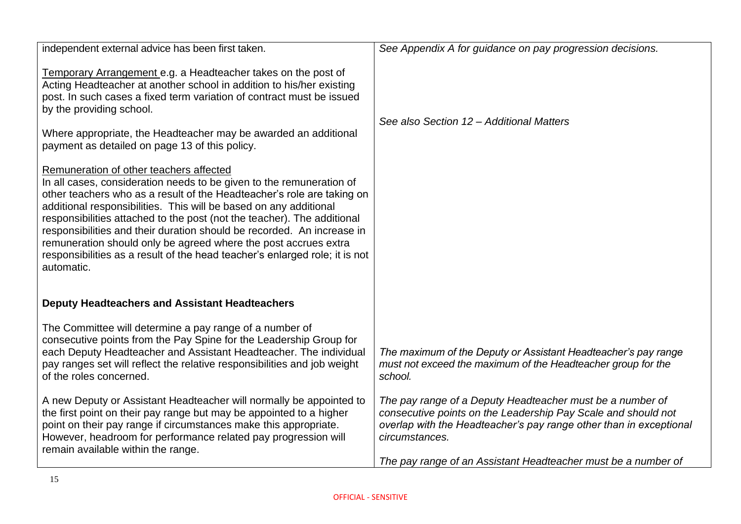| independent external advice has been first taken.                                                                                                                                                                                                                                                                                                                                                                                                                                                                                                                                   | See Appendix A for guidance on pay progression decisions.                                                                                                                                                                                                                           |
|-------------------------------------------------------------------------------------------------------------------------------------------------------------------------------------------------------------------------------------------------------------------------------------------------------------------------------------------------------------------------------------------------------------------------------------------------------------------------------------------------------------------------------------------------------------------------------------|-------------------------------------------------------------------------------------------------------------------------------------------------------------------------------------------------------------------------------------------------------------------------------------|
| Temporary Arrangement e.g. a Headteacher takes on the post of<br>Acting Headteacher at another school in addition to his/her existing<br>post. In such cases a fixed term variation of contract must be issued<br>by the providing school.                                                                                                                                                                                                                                                                                                                                          | See also Section 12 - Additional Matters                                                                                                                                                                                                                                            |
| Where appropriate, the Headteacher may be awarded an additional<br>payment as detailed on page 13 of this policy.                                                                                                                                                                                                                                                                                                                                                                                                                                                                   |                                                                                                                                                                                                                                                                                     |
| Remuneration of other teachers affected<br>In all cases, consideration needs to be given to the remuneration of<br>other teachers who as a result of the Headteacher's role are taking on<br>additional responsibilities. This will be based on any additional<br>responsibilities attached to the post (not the teacher). The additional<br>responsibilities and their duration should be recorded. An increase in<br>remuneration should only be agreed where the post accrues extra<br>responsibilities as a result of the head teacher's enlarged role; it is not<br>automatic. |                                                                                                                                                                                                                                                                                     |
| <b>Deputy Headteachers and Assistant Headteachers</b>                                                                                                                                                                                                                                                                                                                                                                                                                                                                                                                               |                                                                                                                                                                                                                                                                                     |
| The Committee will determine a pay range of a number of<br>consecutive points from the Pay Spine for the Leadership Group for<br>each Deputy Headteacher and Assistant Headteacher. The individual<br>pay ranges set will reflect the relative responsibilities and job weight<br>of the roles concerned.                                                                                                                                                                                                                                                                           | The maximum of the Deputy or Assistant Headteacher's pay range<br>must not exceed the maximum of the Headteacher group for the<br>school.                                                                                                                                           |
| A new Deputy or Assistant Headteacher will normally be appointed to<br>the first point on their pay range but may be appointed to a higher<br>point on their pay range if circumstances make this appropriate.<br>However, headroom for performance related pay progression will<br>remain available within the range.                                                                                                                                                                                                                                                              | The pay range of a Deputy Headteacher must be a number of<br>consecutive points on the Leadership Pay Scale and should not<br>overlap with the Headteacher's pay range other than in exceptional<br>circumstances.<br>The pay range of an Assistant Headteacher must be a number of |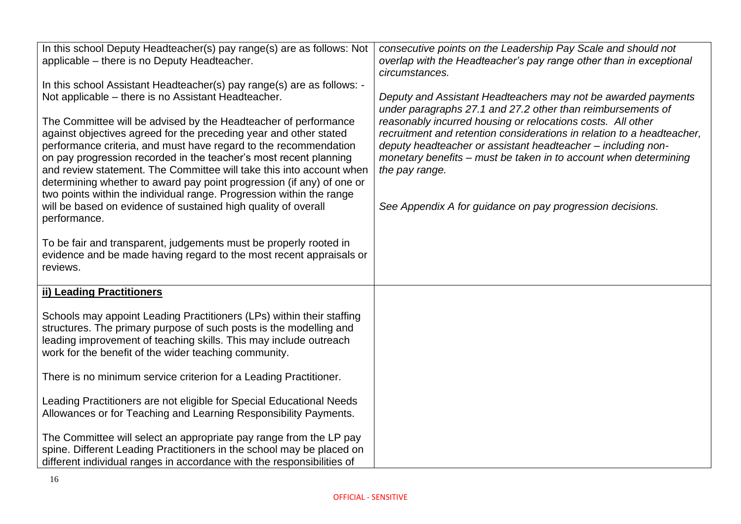| In this school Deputy Headteacher(s) pay range(s) are as follows: Not<br>applicable - there is no Deputy Headteacher.<br>In this school Assistant Headteacher(s) pay range(s) are as follows: -<br>Not applicable – there is no Assistant Headteacher.<br>The Committee will be advised by the Headteacher of performance<br>against objectives agreed for the preceding year and other stated<br>performance criteria, and must have regard to the recommendation<br>on pay progression recorded in the teacher's most recent planning<br>and review statement. The Committee will take this into account when<br>determining whether to award pay point progression (if any) of one or<br>two points within the individual range. Progression within the range<br>will be based on evidence of sustained high quality of overall<br>performance.<br>To be fair and transparent, judgements must be properly rooted in<br>evidence and be made having regard to the most recent appraisals or<br>reviews. | consecutive points on the Leadership Pay Scale and should not<br>overlap with the Headteacher's pay range other than in exceptional<br>circumstances.<br>Deputy and Assistant Headteachers may not be awarded payments<br>under paragraphs 27.1 and 27.2 other than reimbursements of<br>reasonably incurred housing or relocations costs. All other<br>recruitment and retention considerations in relation to a headteacher.<br>deputy headteacher or assistant headteacher - including non-<br>monetary benefits – must be taken in to account when determining<br>the pay range.<br>See Appendix A for guidance on pay progression decisions. |
|------------------------------------------------------------------------------------------------------------------------------------------------------------------------------------------------------------------------------------------------------------------------------------------------------------------------------------------------------------------------------------------------------------------------------------------------------------------------------------------------------------------------------------------------------------------------------------------------------------------------------------------------------------------------------------------------------------------------------------------------------------------------------------------------------------------------------------------------------------------------------------------------------------------------------------------------------------------------------------------------------------|---------------------------------------------------------------------------------------------------------------------------------------------------------------------------------------------------------------------------------------------------------------------------------------------------------------------------------------------------------------------------------------------------------------------------------------------------------------------------------------------------------------------------------------------------------------------------------------------------------------------------------------------------|
| ii) Leading Practitioners<br>Schools may appoint Leading Practitioners (LPs) within their staffing<br>structures. The primary purpose of such posts is the modelling and<br>leading improvement of teaching skills. This may include outreach<br>work for the benefit of the wider teaching community.<br>There is no minimum service criterion for a Leading Practitioner.<br>Leading Practitioners are not eligible for Special Educational Needs<br>Allowances or for Teaching and Learning Responsibility Payments.<br>The Committee will select an appropriate pay range from the LP pay<br>spine. Different Leading Practitioners in the school may be placed on<br>different individual ranges in accordance with the responsibilities of                                                                                                                                                                                                                                                           |                                                                                                                                                                                                                                                                                                                                                                                                                                                                                                                                                                                                                                                   |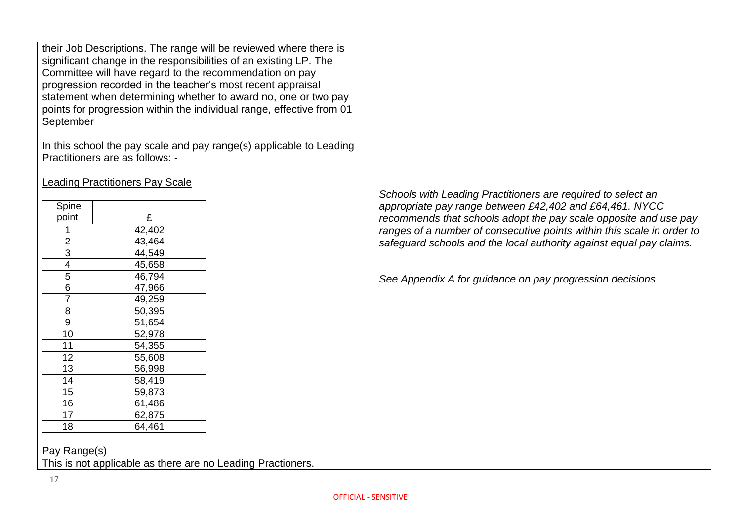their Job Descriptions. The range will be reviewed where there is significant change in the responsibilities of an existing LP. The Committee will have regard to the recommendation on pay progression recorded in the teacher's most recent appraisal statement when determining whether to award no, one or two pay points for progression within the individual range, effective from 01 September

In this school the pay scale and pay range(s) applicable to Leading Practitioners are as follows: -

Leading Practitioners Pay Scale

| Spine          |        |
|----------------|--------|
| point          | £      |
| 1              | 42,402 |
|                | 43,464 |
| $\frac{2}{3}$  | 44,549 |
| 4              | 45,658 |
| $\overline{5}$ | 46,794 |
| $\overline{6}$ | 47,966 |
| $\frac{1}{7}$  | 49,259 |
| $\overline{8}$ | 50,395 |
| 9              | 51,654 |
| 10             | 52,978 |
| 11             | 54,355 |
| 12             | 55,608 |
| 13             | 56,998 |
| 14             | 58,419 |
| 15             | 59,873 |
| 16             | 61,486 |
| 17             | 62,875 |
| 18             | 64,461 |
|                |        |

*Schools with Leading Practitioners are required to select an appropriate pay range between £42,402 and £64,461. NYCC recommends that schools adopt the pay scale opposite and use pay ranges of a number of consecutive points within this scale in order to safeguard schools and the local authority against equal pay claims.*

*See Appendix A for guidance on pay progression decisions*

Pay Range(s) This is not applicable as there are no Leading Practioners.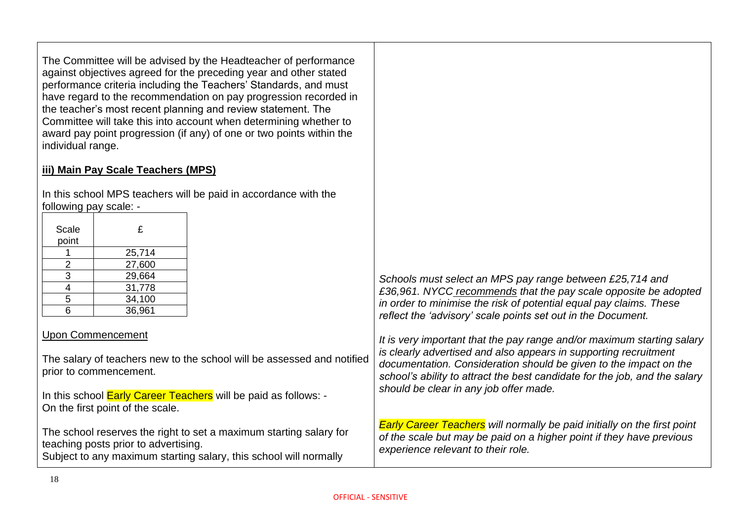The Committee will be advised by the Headteacher of performance against objectives agreed for the preceding year and other stated performance criteria including the Teachers' Standards, and must have regard to the recommendation on pay progression recorded in the teacher's most recent planning and review statement. The Committee will take this into account when determining whether to award pay point progression (if any) of one or two points within the individual range.

#### **iii) Main Pay Scale Teachers (MPS)**

In this school MPS teachers will be paid in accordance with the following pay scale: -

| Scale<br>point | £      |
|----------------|--------|
|                | 25,714 |
| 2              | 27,600 |
| 3              | 29,664 |
| 4              | 31,778 |
| 5              | 34,100 |
| հ              | 36,961 |

#### Upon Commencement

The salary of teachers new to the school will be assessed and notified prior to commencement.

In this school **Early Career Teachers** will be paid as follows: -On the first point of the scale.

The school reserves the right to set a maximum starting salary for teaching posts prior to advertising. Subject to any maximum starting salary, this school will normally

*Schools must select an MPS pay range between £25,714 and £36,961. NYCC recommends that the pay scale opposite be adopted in order to minimise the risk of potential equal pay claims. These reflect the 'advisory' scale points set out in the Document.*

*It is very important that the pay range and/or maximum starting salary is clearly advertised and also appears in supporting recruitment documentation. Consideration should be given to the impact on the school's ability to attract the best candidate for the job, and the salary should be clear in any job offer made.*

*Early Career Teachers will normally be paid initially on the first point of the scale but may be paid on a higher point if they have previous experience relevant to their role.*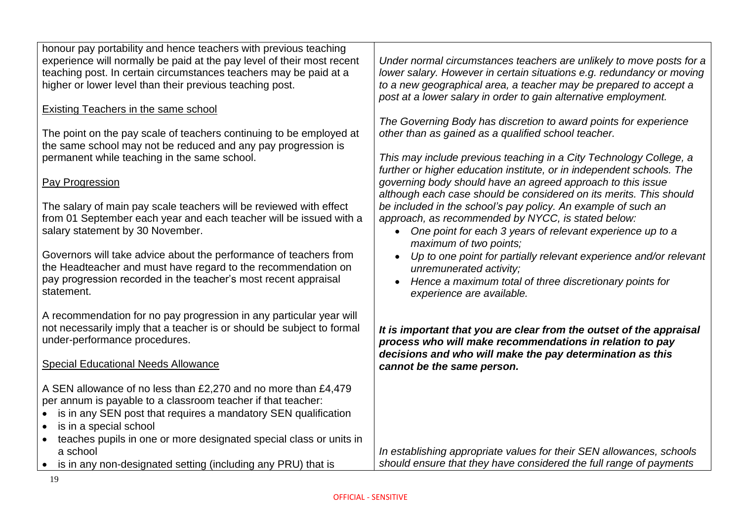honour pay portability and hence teachers with previous teaching experience will normally be paid at the pay level of their most recent teaching post. In certain circumstances teachers may be paid at a higher or lower level than their previous teaching post.

#### Existing Teachers in the same school

The point on the pay scale of teachers continuing to be employed at the same school may not be reduced and any pay progression is permanent while teaching in the same school.

#### Pay Progression

The salary of main pay scale teachers will be reviewed with effect from 01 September each year and each teacher will be issued with a salary statement by 30 November.

Governors will take advice about the performance of teachers from the Headteacher and must have regard to the recommendation on pay progression recorded in the teacher's most recent appraisal statement.

A recommendation for no pay progression in any particular year will not necessarily imply that a teacher is or should be subject to formal under-performance procedures.

#### Special Educational Needs Allowance

A SEN allowance of no less than £2,270 and no more than £4,479 per annum is payable to a classroom teacher if that teacher:

- is in any SEN post that requires a mandatory SEN qualification
- is in a special school
- teaches pupils in one or more designated special class or units in a school
- is in any non-designated setting (including any PRU) that is

*Under normal circumstances teachers are unlikely to move posts for a lower salary. However in certain situations e.g. redundancy or moving to a new geographical area, a teacher may be prepared to accept a post at a lower salary in order to gain alternative employment.*

*The Governing Body has discretion to award points for experience other than as gained as a qualified school teacher.*

*This may include previous teaching in a City Technology College, a further or higher education institute, or in independent schools. The governing body should have an agreed approach to this issue although each case should be considered on its merits. This should be included in the school's pay policy. An example of such an approach, as recommended by NYCC, is stated below:*

- *One point for each 3 years of relevant experience up to a maximum of two points;*
- *Up to one point for partially relevant experience and/or relevant unremunerated activity;*
- *Hence a maximum total of three discretionary points for experience are available.*

*It is important that you are clear from the outset of the appraisal process who will make recommendations in relation to pay decisions and who will make the pay determination as this cannot be the same person.*

*In establishing appropriate values for their SEN allowances, schools should ensure that they have considered the full range of payments*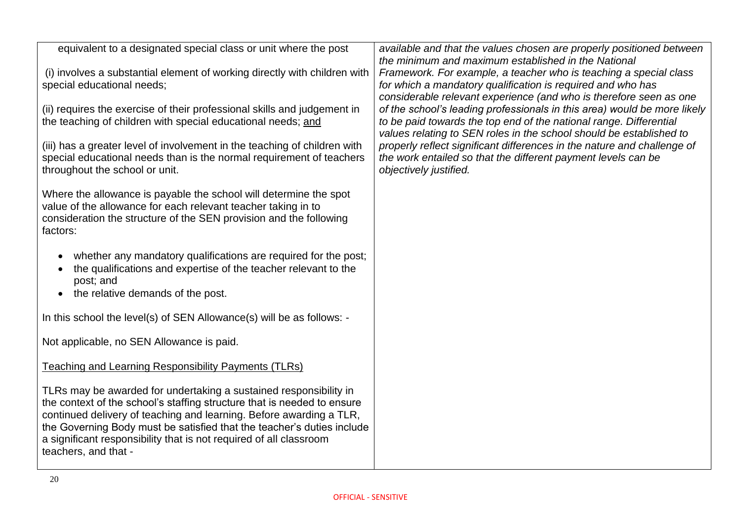| equivalent to a designated special class or unit where the post                                                                                                                                                                                                                                                                                                                             | available and that the values chosen are properly positioned between<br>the minimum and maximum established in the National                                                                                           |
|---------------------------------------------------------------------------------------------------------------------------------------------------------------------------------------------------------------------------------------------------------------------------------------------------------------------------------------------------------------------------------------------|-----------------------------------------------------------------------------------------------------------------------------------------------------------------------------------------------------------------------|
| (i) involves a substantial element of working directly with children with<br>special educational needs;                                                                                                                                                                                                                                                                                     | Framework. For example, a teacher who is teaching a special class<br>for which a mandatory qualification is required and who has<br>considerable relevant experience (and who is therefore seen as one                |
| (ii) requires the exercise of their professional skills and judgement in<br>the teaching of children with special educational needs; and                                                                                                                                                                                                                                                    | of the school's leading professionals in this area) would be more likely<br>to be paid towards the top end of the national range. Differential<br>values relating to SEN roles in the school should be established to |
| (iii) has a greater level of involvement in the teaching of children with<br>special educational needs than is the normal requirement of teachers<br>throughout the school or unit.                                                                                                                                                                                                         | properly reflect significant differences in the nature and challenge of<br>the work entailed so that the different payment levels can be<br>objectively justified.                                                    |
| Where the allowance is payable the school will determine the spot<br>value of the allowance for each relevant teacher taking in to<br>consideration the structure of the SEN provision and the following<br>factors:                                                                                                                                                                        |                                                                                                                                                                                                                       |
| whether any mandatory qualifications are required for the post;<br>the qualifications and expertise of the teacher relevant to the<br>post; and<br>• the relative demands of the post.                                                                                                                                                                                                      |                                                                                                                                                                                                                       |
| In this school the level(s) of SEN Allowance(s) will be as follows: -                                                                                                                                                                                                                                                                                                                       |                                                                                                                                                                                                                       |
| Not applicable, no SEN Allowance is paid.                                                                                                                                                                                                                                                                                                                                                   |                                                                                                                                                                                                                       |
| <b>Teaching and Learning Responsibility Payments (TLRs)</b>                                                                                                                                                                                                                                                                                                                                 |                                                                                                                                                                                                                       |
| TLRs may be awarded for undertaking a sustained responsibility in<br>the context of the school's staffing structure that is needed to ensure<br>continued delivery of teaching and learning. Before awarding a TLR,<br>the Governing Body must be satisfied that the teacher's duties include<br>a significant responsibility that is not required of all classroom<br>teachers, and that - |                                                                                                                                                                                                                       |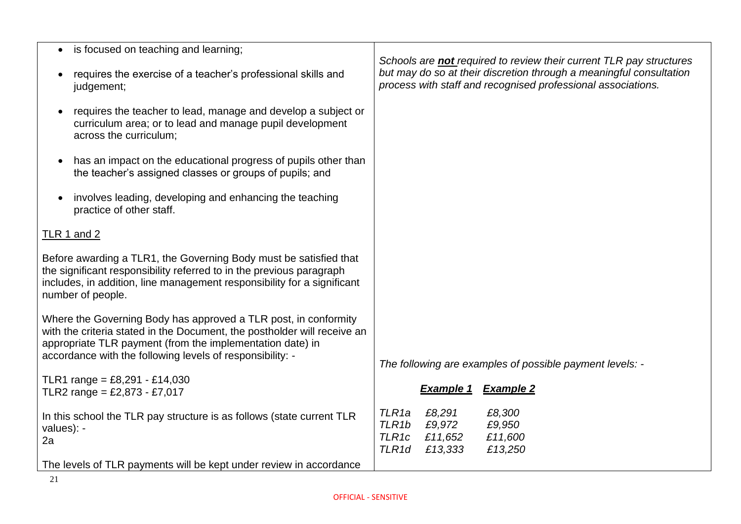| is focused on teaching and learning;<br>$\bullet$                                                                                                                                                                                                                     |                                                                                                                                                                                                                   |
|-----------------------------------------------------------------------------------------------------------------------------------------------------------------------------------------------------------------------------------------------------------------------|-------------------------------------------------------------------------------------------------------------------------------------------------------------------------------------------------------------------|
| requires the exercise of a teacher's professional skills and<br>judgement;                                                                                                                                                                                            | Schools are <b>not</b> required to review their current TLR pay structures<br>but may do so at their discretion through a meaningful consultation<br>process with staff and recognised professional associations. |
| requires the teacher to lead, manage and develop a subject or<br>$\bullet$<br>curriculum area; or to lead and manage pupil development<br>across the curriculum;                                                                                                      |                                                                                                                                                                                                                   |
| has an impact on the educational progress of pupils other than<br>$\bullet$<br>the teacher's assigned classes or groups of pupils; and                                                                                                                                |                                                                                                                                                                                                                   |
| involves leading, developing and enhancing the teaching<br>$\bullet$<br>practice of other staff.                                                                                                                                                                      |                                                                                                                                                                                                                   |
| <b>TLR 1 and 2</b>                                                                                                                                                                                                                                                    |                                                                                                                                                                                                                   |
| Before awarding a TLR1, the Governing Body must be satisfied that<br>the significant responsibility referred to in the previous paragraph<br>includes, in addition, line management responsibility for a significant<br>number of people.                             |                                                                                                                                                                                                                   |
| Where the Governing Body has approved a TLR post, in conformity<br>with the criteria stated in the Document, the postholder will receive an<br>appropriate TLR payment (from the implementation date) in<br>accordance with the following levels of responsibility: - | The following are examples of possible payment levels: -                                                                                                                                                          |
| TLR1 range = £8,291 - £14,030<br>TLR2 range = £2,873 - £7,017                                                                                                                                                                                                         | <b>Example 1</b><br><b>Example 2</b>                                                                                                                                                                              |
| In this school the TLR pay structure is as follows (state current TLR<br>values): -<br>2a                                                                                                                                                                             | TLR <sub>1a</sub><br>£8,291<br>£8,300<br>TLR <sub>1b</sub><br>£9,972<br>£9,950<br>TLR1c<br>£11,600<br>£11,652<br>TLR <sub>1d</sub><br>£13,333<br>£13,250                                                          |
| The levels of TLR payments will be kept under review in accordance                                                                                                                                                                                                    |                                                                                                                                                                                                                   |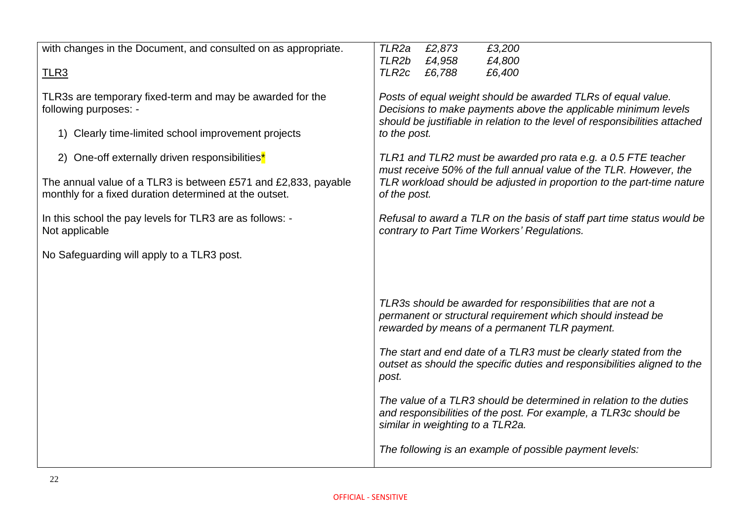| with changes in the Document, and consulted on as appropriate.                                                           | TLR2a<br>£2,873<br>£3,200                                                                                                                                                                                     |
|--------------------------------------------------------------------------------------------------------------------------|---------------------------------------------------------------------------------------------------------------------------------------------------------------------------------------------------------------|
|                                                                                                                          | TLR2b<br>£4,958<br>£4,800                                                                                                                                                                                     |
| TLR3                                                                                                                     | TLR <sub>2c</sub><br>£6,788<br>£6,400                                                                                                                                                                         |
| TLR3s are temporary fixed-term and may be awarded for the<br>following purposes: -                                       | Posts of equal weight should be awarded TLRs of equal value.<br>Decisions to make payments above the applicable minimum levels<br>should be justifiable in relation to the level of responsibilities attached |
| 1) Clearly time-limited school improvement projects                                                                      | to the post.                                                                                                                                                                                                  |
| 2) One-off externally driven responsibilities <sup>*</sup>                                                               | TLR1 and TLR2 must be awarded pro rata e.g. a 0.5 FTE teacher<br>must receive 50% of the full annual value of the TLR. However, the                                                                           |
| The annual value of a TLR3 is between £571 and £2,833, payable<br>monthly for a fixed duration determined at the outset. | TLR workload should be adjusted in proportion to the part-time nature<br>of the post.                                                                                                                         |
| In this school the pay levels for TLR3 are as follows: -<br>Not applicable                                               | Refusal to award a TLR on the basis of staff part time status would be<br>contrary to Part Time Workers' Regulations.                                                                                         |
| No Safeguarding will apply to a TLR3 post.                                                                               |                                                                                                                                                                                                               |
|                                                                                                                          |                                                                                                                                                                                                               |
|                                                                                                                          | TLR3s should be awarded for responsibilities that are not a<br>permanent or structural requirement which should instead be<br>rewarded by means of a permanent TLR payment.                                   |
|                                                                                                                          | The start and end date of a TLR3 must be clearly stated from the<br>outset as should the specific duties and responsibilities aligned to the<br>post.                                                         |
|                                                                                                                          | The value of a TLR3 should be determined in relation to the duties<br>and responsibilities of the post. For example, a TLR3c should be<br>similar in weighting to a TLR2a.                                    |
|                                                                                                                          | The following is an example of possible payment levels:                                                                                                                                                       |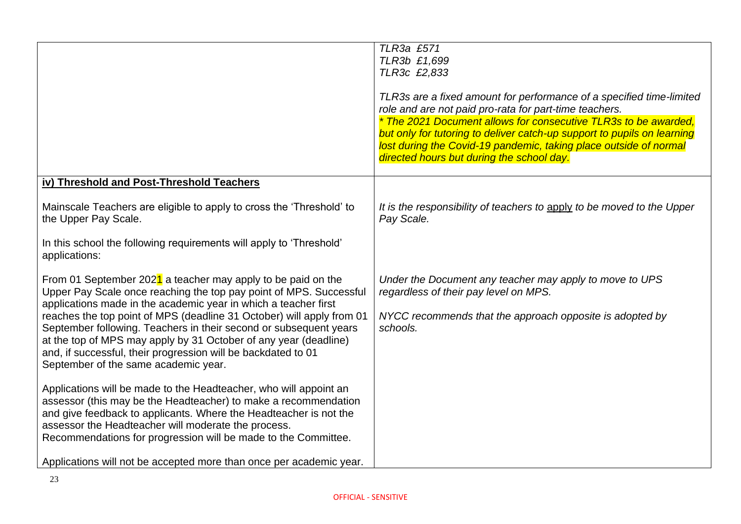|                                                                                                                                                                                                                                                                                                                                                                                                                                                                                                                                  | TLR3a £571<br>TLR3b £1,699<br>TLR3c £2,833<br>TLR3s are a fixed amount for performance of a specified time-limited<br>role and are not paid pro-rata for part-time teachers.<br>* The 2021 Document allows for consecutive TLR3s to be awarded.<br>but only for tutoring to deliver catch-up support to pupils on learning<br>lost during the Covid-19 pandemic, taking place outside of normal<br>directed hours but during the school day. |
|----------------------------------------------------------------------------------------------------------------------------------------------------------------------------------------------------------------------------------------------------------------------------------------------------------------------------------------------------------------------------------------------------------------------------------------------------------------------------------------------------------------------------------|----------------------------------------------------------------------------------------------------------------------------------------------------------------------------------------------------------------------------------------------------------------------------------------------------------------------------------------------------------------------------------------------------------------------------------------------|
| iv) Threshold and Post-Threshold Teachers                                                                                                                                                                                                                                                                                                                                                                                                                                                                                        |                                                                                                                                                                                                                                                                                                                                                                                                                                              |
| Mainscale Teachers are eligible to apply to cross the 'Threshold' to<br>the Upper Pay Scale.                                                                                                                                                                                                                                                                                                                                                                                                                                     | It is the responsibility of teachers to apply to be moved to the Upper<br>Pay Scale.                                                                                                                                                                                                                                                                                                                                                         |
| In this school the following requirements will apply to 'Threshold'<br>applications:                                                                                                                                                                                                                                                                                                                                                                                                                                             |                                                                                                                                                                                                                                                                                                                                                                                                                                              |
| From 01 September 2021 a teacher may apply to be paid on the<br>Upper Pay Scale once reaching the top pay point of MPS. Successful<br>applications made in the academic year in which a teacher first<br>reaches the top point of MPS (deadline 31 October) will apply from 01<br>September following. Teachers in their second or subsequent years<br>at the top of MPS may apply by 31 October of any year (deadline)<br>and, if successful, their progression will be backdated to 01<br>September of the same academic year. | Under the Document any teacher may apply to move to UPS<br>regardless of their pay level on MPS.<br>NYCC recommends that the approach opposite is adopted by<br>schools.                                                                                                                                                                                                                                                                     |
| Applications will be made to the Headteacher, who will appoint an<br>assessor (this may be the Headteacher) to make a recommendation<br>and give feedback to applicants. Where the Headteacher is not the<br>assessor the Headteacher will moderate the process.<br>Recommendations for progression will be made to the Committee.<br>Applications will not be accepted more than once per academic year.                                                                                                                        |                                                                                                                                                                                                                                                                                                                                                                                                                                              |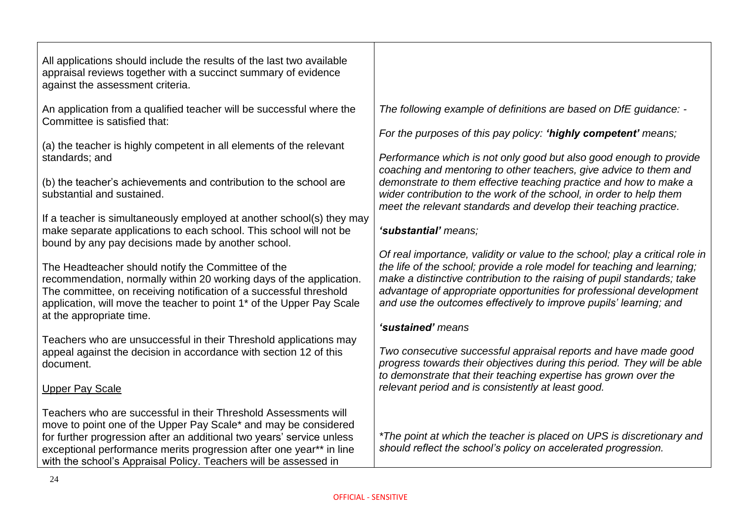| All applications should include the results of the last two available<br>appraisal reviews together with a succinct summary of evidence<br>against the assessment criteria.                                                                                                                                                                            |                                                                                                                                                                                                                                                                                                                                                                                |
|--------------------------------------------------------------------------------------------------------------------------------------------------------------------------------------------------------------------------------------------------------------------------------------------------------------------------------------------------------|--------------------------------------------------------------------------------------------------------------------------------------------------------------------------------------------------------------------------------------------------------------------------------------------------------------------------------------------------------------------------------|
| An application from a qualified teacher will be successful where the<br>Committee is satisfied that:                                                                                                                                                                                                                                                   | The following example of definitions are based on DfE guidance: -                                                                                                                                                                                                                                                                                                              |
| (a) the teacher is highly competent in all elements of the relevant<br>standards; and                                                                                                                                                                                                                                                                  | For the purposes of this pay policy: 'highly competent' means;<br>Performance which is not only good but also good enough to provide                                                                                                                                                                                                                                           |
| (b) the teacher's achievements and contribution to the school are<br>substantial and sustained.                                                                                                                                                                                                                                                        | coaching and mentoring to other teachers, give advice to them and<br>demonstrate to them effective teaching practice and how to make a<br>wider contribution to the work of the school, in order to help them<br>meet the relevant standards and develop their teaching practice.                                                                                              |
| If a teacher is simultaneously employed at another school(s) they may<br>make separate applications to each school. This school will not be<br>bound by any pay decisions made by another school.                                                                                                                                                      | 'substantial' means;                                                                                                                                                                                                                                                                                                                                                           |
| The Headteacher should notify the Committee of the<br>recommendation, normally within 20 working days of the application.<br>The committee, on receiving notification of a successful threshold<br>application, will move the teacher to point 1 <sup>*</sup> of the Upper Pay Scale<br>at the appropriate time.                                       | Of real importance, validity or value to the school; play a critical role in<br>the life of the school; provide a role model for teaching and learning;<br>make a distinctive contribution to the raising of pupil standards; take<br>advantage of appropriate opportunities for professional development<br>and use the outcomes effectively to improve pupils' learning; and |
|                                                                                                                                                                                                                                                                                                                                                        | 'sustained' means                                                                                                                                                                                                                                                                                                                                                              |
| Teachers who are unsuccessful in their Threshold applications may<br>appeal against the decision in accordance with section 12 of this<br>document.                                                                                                                                                                                                    | Two consecutive successful appraisal reports and have made good<br>progress towards their objectives during this period. They will be able<br>to demonstrate that their teaching expertise has grown over the                                                                                                                                                                  |
| <b>Upper Pay Scale</b>                                                                                                                                                                                                                                                                                                                                 | relevant period and is consistently at least good.                                                                                                                                                                                                                                                                                                                             |
| Teachers who are successful in their Threshold Assessments will<br>move to point one of the Upper Pay Scale* and may be considered<br>for further progression after an additional two years' service unless<br>exceptional performance merits progression after one year** in line<br>with the school's Appraisal Policy. Teachers will be assessed in | *The point at which the teacher is placed on UPS is discretionary and<br>should reflect the school's policy on accelerated progression.                                                                                                                                                                                                                                        |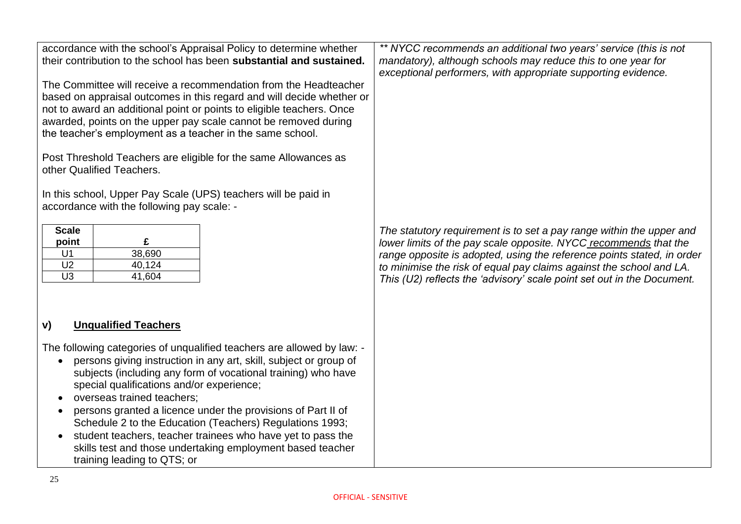| accordance with the school's Appraisal Policy to determine whether<br>their contribution to the school has been substantial and sustained.<br>The Committee will receive a recommendation from the Headteacher<br>based on appraisal outcomes in this regard and will decide whether or<br>not to award an additional point or points to eligible teachers. Once<br>awarded, points on the upper pay scale cannot be removed during<br>the teacher's employment as a teacher in the same school. | ** NYCC recommends an additional two years' service (this is not<br>mandatory), although schools may reduce this to one year for<br>exceptional performers, with appropriate supporting evidence.                                                                                                                                                                   |
|--------------------------------------------------------------------------------------------------------------------------------------------------------------------------------------------------------------------------------------------------------------------------------------------------------------------------------------------------------------------------------------------------------------------------------------------------------------------------------------------------|---------------------------------------------------------------------------------------------------------------------------------------------------------------------------------------------------------------------------------------------------------------------------------------------------------------------------------------------------------------------|
| Post Threshold Teachers are eligible for the same Allowances as<br>other Qualified Teachers.                                                                                                                                                                                                                                                                                                                                                                                                     |                                                                                                                                                                                                                                                                                                                                                                     |
| In this school, Upper Pay Scale (UPS) teachers will be paid in<br>accordance with the following pay scale: -                                                                                                                                                                                                                                                                                                                                                                                     |                                                                                                                                                                                                                                                                                                                                                                     |
| <b>Scale</b><br>£<br>point<br>38,690<br>U <sub>1</sub><br>U <sub>2</sub><br>40,124<br>U <sub>3</sub><br>41,604                                                                                                                                                                                                                                                                                                                                                                                   | The statutory requirement is to set a pay range within the upper and<br>lower limits of the pay scale opposite. NYCC recommends that the<br>range opposite is adopted, using the reference points stated, in order<br>to minimise the risk of equal pay claims against the school and LA.<br>This (U2) reflects the 'advisory' scale point set out in the Document. |
| <b>Unqualified Teachers</b><br>V)<br>The following categories of unqualified teachers are allowed by law: -                                                                                                                                                                                                                                                                                                                                                                                      |                                                                                                                                                                                                                                                                                                                                                                     |
| persons giving instruction in any art, skill, subject or group of<br>$\bullet$<br>subjects (including any form of vocational training) who have<br>special qualifications and/or experience;                                                                                                                                                                                                                                                                                                     |                                                                                                                                                                                                                                                                                                                                                                     |
| overseas trained teachers;<br>persons granted a licence under the provisions of Part II of                                                                                                                                                                                                                                                                                                                                                                                                       |                                                                                                                                                                                                                                                                                                                                                                     |
| Schedule 2 to the Education (Teachers) Regulations 1993;<br>student teachers, teacher trainees who have yet to pass the<br>$\bullet$<br>skills test and those undertaking employment based teacher<br>training leading to QTS; or                                                                                                                                                                                                                                                                |                                                                                                                                                                                                                                                                                                                                                                     |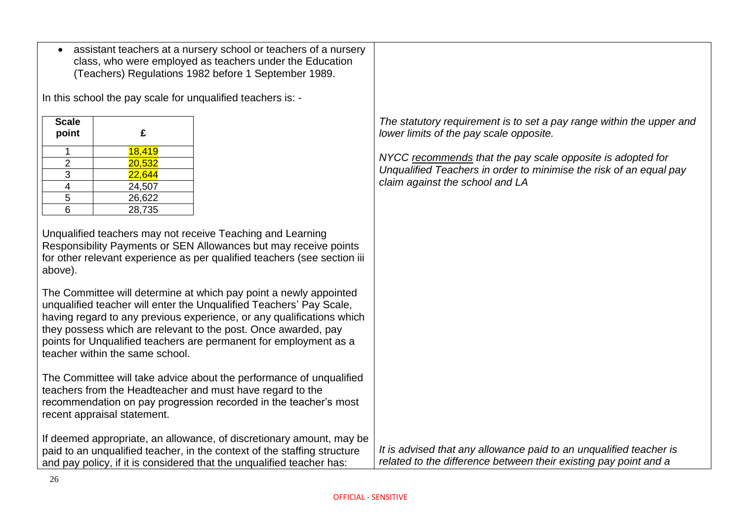|                                                   |                                                          | assistant teachers at a nursery school or teachers of a nursery<br>class, who were employed as teachers under the Education<br>(Teachers) Regulations 1982 before 1 September 1989.                                                                                                                                                                      |                                                                                                                                                                     |
|---------------------------------------------------|----------------------------------------------------------|----------------------------------------------------------------------------------------------------------------------------------------------------------------------------------------------------------------------------------------------------------------------------------------------------------------------------------------------------------|---------------------------------------------------------------------------------------------------------------------------------------------------------------------|
|                                                   |                                                          | In this school the pay scale for unqualified teachers is: -                                                                                                                                                                                                                                                                                              |                                                                                                                                                                     |
| <b>Scale</b><br>point                             | £                                                        |                                                                                                                                                                                                                                                                                                                                                          | The statutory requirement is to set a pay range within the upper and<br>lower limits of the pay scale opposite.                                                     |
| $\mathbf 1$<br>$\overline{2}$<br>3<br>4<br>5<br>6 | 18,419<br>20,532<br>22,644<br>24,507<br>26,622<br>28,735 |                                                                                                                                                                                                                                                                                                                                                          | NYCC recommends that the pay scale opposite is adopted for<br>Unqualified Teachers in order to minimise the risk of an equal pay<br>claim against the school and LA |
| above).                                           |                                                          | Unqualified teachers may not receive Teaching and Learning<br>Responsibility Payments or SEN Allowances but may receive points<br>for other relevant experience as per qualified teachers (see section iii                                                                                                                                               |                                                                                                                                                                     |
|                                                   | teacher within the same school.                          | The Committee will determine at which pay point a newly appointed<br>unqualified teacher will enter the Unqualified Teachers' Pay Scale,<br>having regard to any previous experience, or any qualifications which<br>they possess which are relevant to the post. Once awarded, pay<br>points for Unqualified teachers are permanent for employment as a |                                                                                                                                                                     |
|                                                   | recent appraisal statement.                              | The Committee will take advice about the performance of unqualified<br>teachers from the Headteacher and must have regard to the<br>recommendation on pay progression recorded in the teacher's most                                                                                                                                                     |                                                                                                                                                                     |
|                                                   |                                                          | If deemed appropriate, an allowance, of discretionary amount, may be<br>paid to an unqualified teacher, in the context of the staffing structure<br>and pay policy, if it is considered that the unqualified teacher has:                                                                                                                                | It is advised that any allowance paid to an unqualified teacher is<br>related to the difference between their existing pay point and a                              |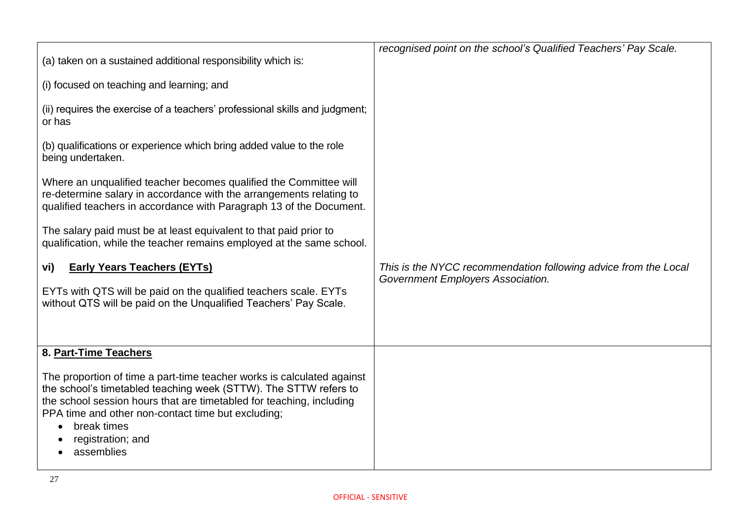| (a) taken on a sustained additional responsibility which is:                                                                                                                                                    | recognised point on the school's Qualified Teachers' Pay Scale. |
|-----------------------------------------------------------------------------------------------------------------------------------------------------------------------------------------------------------------|-----------------------------------------------------------------|
| (i) focused on teaching and learning; and                                                                                                                                                                       |                                                                 |
| (ii) requires the exercise of a teachers' professional skills and judgment;<br>or has                                                                                                                           |                                                                 |
| (b) qualifications or experience which bring added value to the role<br>being undertaken.                                                                                                                       |                                                                 |
| Where an unqualified teacher becomes qualified the Committee will<br>re-determine salary in accordance with the arrangements relating to<br>qualified teachers in accordance with Paragraph 13 of the Document. |                                                                 |
| The salary paid must be at least equivalent to that paid prior to<br>qualification, while the teacher remains employed at the same school.                                                                      |                                                                 |
|                                                                                                                                                                                                                 |                                                                 |
| <b>Early Years Teachers (EYTs)</b><br>vi)                                                                                                                                                                       | This is the NYCC recommendation following advice from the Local |
| EYTs with QTS will be paid on the qualified teachers scale. EYTs<br>without QTS will be paid on the Unqualified Teachers' Pay Scale.                                                                            | Government Employers Association.                               |
| 8. Part-Time Teachers                                                                                                                                                                                           |                                                                 |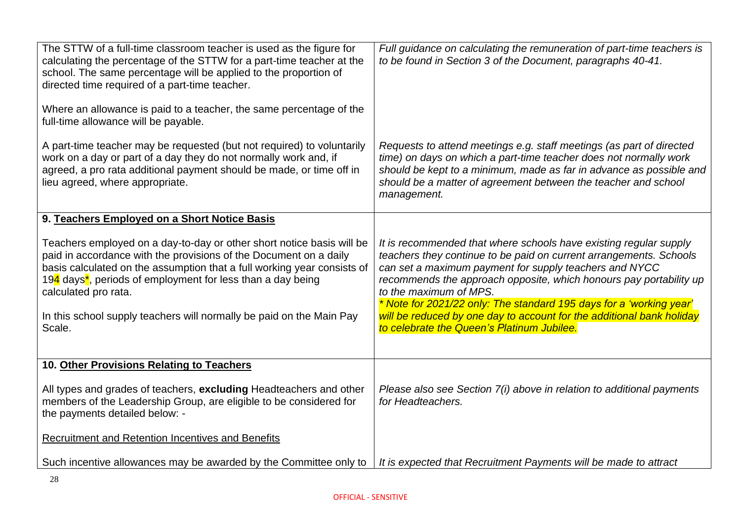| The STTW of a full-time classroom teacher is used as the figure for<br>calculating the percentage of the STTW for a part-time teacher at the<br>school. The same percentage will be applied to the proportion of<br>directed time required of a part-time teacher.<br>Where an allowance is paid to a teacher, the same percentage of the<br>full-time allowance will be payable.                          | Full guidance on calculating the remuneration of part-time teachers is<br>to be found in Section 3 of the Document, paragraphs 40-41.                                                                                                                                                                                                                                                                                                                                                           |
|------------------------------------------------------------------------------------------------------------------------------------------------------------------------------------------------------------------------------------------------------------------------------------------------------------------------------------------------------------------------------------------------------------|-------------------------------------------------------------------------------------------------------------------------------------------------------------------------------------------------------------------------------------------------------------------------------------------------------------------------------------------------------------------------------------------------------------------------------------------------------------------------------------------------|
| A part-time teacher may be requested (but not required) to voluntarily<br>work on a day or part of a day they do not normally work and, if<br>agreed, a pro rata additional payment should be made, or time off in<br>lieu agreed, where appropriate.                                                                                                                                                      | Requests to attend meetings e.g. staff meetings (as part of directed<br>time) on days on which a part-time teacher does not normally work<br>should be kept to a minimum, made as far in advance as possible and<br>should be a matter of agreement between the teacher and school<br>management.                                                                                                                                                                                               |
| 9. Teachers Employed on a Short Notice Basis                                                                                                                                                                                                                                                                                                                                                               |                                                                                                                                                                                                                                                                                                                                                                                                                                                                                                 |
| Teachers employed on a day-to-day or other short notice basis will be<br>paid in accordance with the provisions of the Document on a daily<br>basis calculated on the assumption that a full working year consists of<br>194 days <sup>*</sup> , periods of employment for less than a day being<br>calculated pro rata.<br>In this school supply teachers will normally be paid on the Main Pay<br>Scale. | It is recommended that where schools have existing regular supply<br>teachers they continue to be paid on current arrangements. Schools<br>can set a maximum payment for supply teachers and NYCC<br>recommends the approach opposite, which honours pay portability up<br>to the maximum of MPS.<br>* Note for 2021/22 only: The standard 195 days for a 'working year'<br>will be reduced by one day to account for the additional bank holiday<br>to celebrate the Queen's Platinum Jubilee. |
| 10. Other Provisions Relating to Teachers                                                                                                                                                                                                                                                                                                                                                                  |                                                                                                                                                                                                                                                                                                                                                                                                                                                                                                 |
| All types and grades of teachers, excluding Headteachers and other<br>members of the Leadership Group, are eligible to be considered for<br>the payments detailed below: -                                                                                                                                                                                                                                 | Please also see Section 7(i) above in relation to additional payments<br>for Headteachers.                                                                                                                                                                                                                                                                                                                                                                                                      |
| <b>Recruitment and Retention Incentives and Benefits</b>                                                                                                                                                                                                                                                                                                                                                   |                                                                                                                                                                                                                                                                                                                                                                                                                                                                                                 |
| Such incentive allowances may be awarded by the Committee only to                                                                                                                                                                                                                                                                                                                                          | It is expected that Recruitment Payments will be made to attract                                                                                                                                                                                                                                                                                                                                                                                                                                |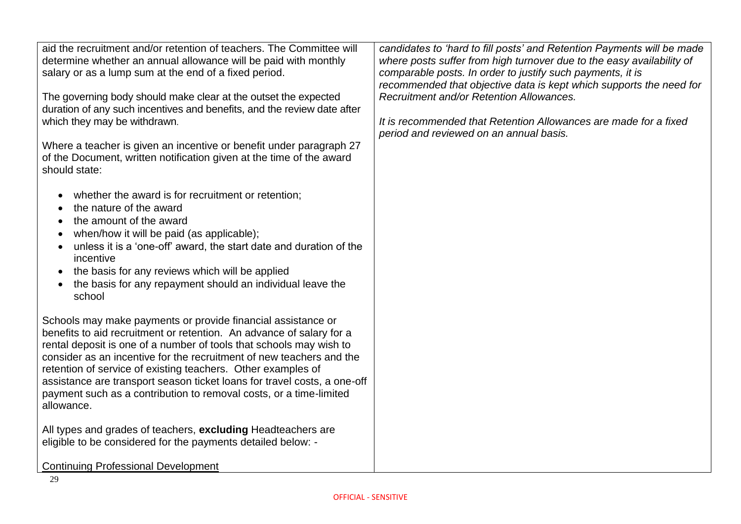| aid the recruitment and/or retention of teachers. The Committee will<br>determine whether an annual allowance will be paid with monthly<br>salary or as a lump sum at the end of a fixed period.<br>The governing body should make clear at the outset the expected<br>duration of any such incentives and benefits, and the review date after<br>which they may be withdrawn.<br>Where a teacher is given an incentive or benefit under paragraph 27<br>of the Document, written notification given at the time of the award<br>should state:<br>whether the award is for recruitment or retention;<br>the nature of the award | candidates to 'hard to fill posts' and Retention Payments will be made<br>where posts suffer from high turnover due to the easy availability of<br>comparable posts. In order to justify such payments, it is<br>recommended that objective data is kept which supports the need for<br>Recruitment and/or Retention Allowances.<br>It is recommended that Retention Allowances are made for a fixed<br>period and reviewed on an annual basis. |
|---------------------------------------------------------------------------------------------------------------------------------------------------------------------------------------------------------------------------------------------------------------------------------------------------------------------------------------------------------------------------------------------------------------------------------------------------------------------------------------------------------------------------------------------------------------------------------------------------------------------------------|-------------------------------------------------------------------------------------------------------------------------------------------------------------------------------------------------------------------------------------------------------------------------------------------------------------------------------------------------------------------------------------------------------------------------------------------------|
| the amount of the award                                                                                                                                                                                                                                                                                                                                                                                                                                                                                                                                                                                                         |                                                                                                                                                                                                                                                                                                                                                                                                                                                 |
| when/how it will be paid (as applicable);<br>unless it is a 'one-off' award, the start date and duration of the                                                                                                                                                                                                                                                                                                                                                                                                                                                                                                                 |                                                                                                                                                                                                                                                                                                                                                                                                                                                 |
| incentive                                                                                                                                                                                                                                                                                                                                                                                                                                                                                                                                                                                                                       |                                                                                                                                                                                                                                                                                                                                                                                                                                                 |
| the basis for any reviews which will be applied<br>$\bullet$<br>the basis for any repayment should an individual leave the                                                                                                                                                                                                                                                                                                                                                                                                                                                                                                      |                                                                                                                                                                                                                                                                                                                                                                                                                                                 |
| school                                                                                                                                                                                                                                                                                                                                                                                                                                                                                                                                                                                                                          |                                                                                                                                                                                                                                                                                                                                                                                                                                                 |
| Schools may make payments or provide financial assistance or<br>benefits to aid recruitment or retention. An advance of salary for a                                                                                                                                                                                                                                                                                                                                                                                                                                                                                            |                                                                                                                                                                                                                                                                                                                                                                                                                                                 |
| rental deposit is one of a number of tools that schools may wish to<br>consider as an incentive for the recruitment of new teachers and the                                                                                                                                                                                                                                                                                                                                                                                                                                                                                     |                                                                                                                                                                                                                                                                                                                                                                                                                                                 |
| retention of service of existing teachers. Other examples of                                                                                                                                                                                                                                                                                                                                                                                                                                                                                                                                                                    |                                                                                                                                                                                                                                                                                                                                                                                                                                                 |
| assistance are transport season ticket loans for travel costs, a one-off<br>payment such as a contribution to removal costs, or a time-limited                                                                                                                                                                                                                                                                                                                                                                                                                                                                                  |                                                                                                                                                                                                                                                                                                                                                                                                                                                 |
| allowance.                                                                                                                                                                                                                                                                                                                                                                                                                                                                                                                                                                                                                      |                                                                                                                                                                                                                                                                                                                                                                                                                                                 |
| All types and grades of teachers, excluding Headteachers are<br>eligible to be considered for the payments detailed below: -                                                                                                                                                                                                                                                                                                                                                                                                                                                                                                    |                                                                                                                                                                                                                                                                                                                                                                                                                                                 |
|                                                                                                                                                                                                                                                                                                                                                                                                                                                                                                                                                                                                                                 |                                                                                                                                                                                                                                                                                                                                                                                                                                                 |
| <b>Continuing Professional Development</b>                                                                                                                                                                                                                                                                                                                                                                                                                                                                                                                                                                                      |                                                                                                                                                                                                                                                                                                                                                                                                                                                 |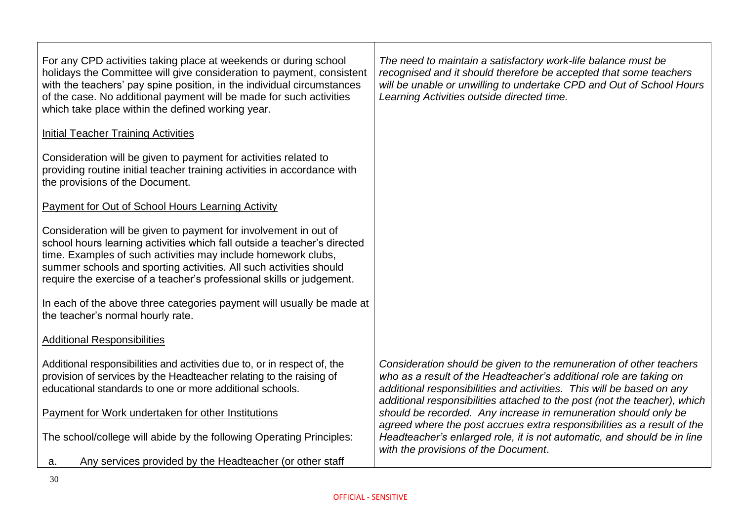| For any CPD activities taking place at weekends or during school<br>holidays the Committee will give consideration to payment, consistent<br>with the teachers' pay spine position, in the individual circumstances<br>of the case. No additional payment will be made for such activities<br>which take place within the defined working year.              | The need to maintain a satisfactory work-life balance must be<br>recognised and it should therefore be accepted that some teachers<br>will be unable or unwilling to undertake CPD and Out of School Hours<br>Learning Activities outside directed time.                                        |
|--------------------------------------------------------------------------------------------------------------------------------------------------------------------------------------------------------------------------------------------------------------------------------------------------------------------------------------------------------------|-------------------------------------------------------------------------------------------------------------------------------------------------------------------------------------------------------------------------------------------------------------------------------------------------|
| <b>Initial Teacher Training Activities</b>                                                                                                                                                                                                                                                                                                                   |                                                                                                                                                                                                                                                                                                 |
| Consideration will be given to payment for activities related to<br>providing routine initial teacher training activities in accordance with<br>the provisions of the Document.                                                                                                                                                                              |                                                                                                                                                                                                                                                                                                 |
| <b>Payment for Out of School Hours Learning Activity</b>                                                                                                                                                                                                                                                                                                     |                                                                                                                                                                                                                                                                                                 |
| Consideration will be given to payment for involvement in out of<br>school hours learning activities which fall outside a teacher's directed<br>time. Examples of such activities may include homework clubs,<br>summer schools and sporting activities. All such activities should<br>require the exercise of a teacher's professional skills or judgement. |                                                                                                                                                                                                                                                                                                 |
| In each of the above three categories payment will usually be made at<br>the teacher's normal hourly rate.                                                                                                                                                                                                                                                   |                                                                                                                                                                                                                                                                                                 |
| <b>Additional Responsibilities</b>                                                                                                                                                                                                                                                                                                                           |                                                                                                                                                                                                                                                                                                 |
| Additional responsibilities and activities due to, or in respect of, the<br>provision of services by the Headteacher relating to the raising of<br>educational standards to one or more additional schools.                                                                                                                                                  | Consideration should be given to the remuneration of other teachers<br>who as a result of the Headteacher's additional role are taking on<br>additional responsibilities and activities. This will be based on any<br>additional responsibilities attached to the post (not the teacher), which |
| Payment for Work undertaken for other Institutions                                                                                                                                                                                                                                                                                                           | should be recorded. Any increase in remuneration should only be<br>agreed where the post accrues extra responsibilities as a result of the                                                                                                                                                      |
| The school/college will abide by the following Operating Principles:                                                                                                                                                                                                                                                                                         | Headteacher's enlarged role, it is not automatic, and should be in line<br>with the provisions of the Document.                                                                                                                                                                                 |
| Any services provided by the Headteacher (or other staff<br>a.                                                                                                                                                                                                                                                                                               |                                                                                                                                                                                                                                                                                                 |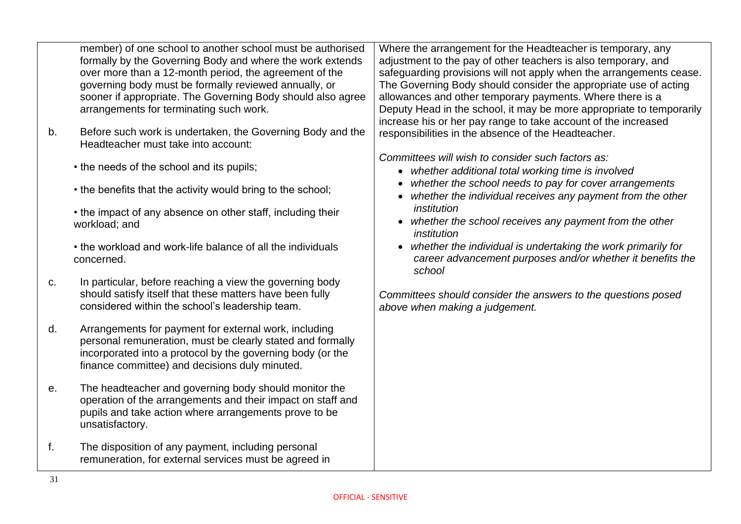member) of one school to another school must be authorised formally by the Governing Body and where the work extends over more than a 12-month period, the agreement of the governing body must be formally reviewed annually, or sooner if appropriate. The Governing Body should also agree arrangements for terminating such work.

- b. Before such work is undertaken, the Governing Body and the Headteacher must take into account:
	- the needs of the school and its pupils;
	- the benefits that the activity would bring to the school;
	- the impact of any absence on other staff, including their workload; and
	- the workload and work-life balance of all the individuals concerned.
- c. In particular, before reaching a view the governing body should satisfy itself that these matters have been fully considered within the school's leadership team.
- d. Arrangements for payment for external work, including personal remuneration, must be clearly stated and formally incorporated into a protocol by the governing body (or the finance committee) and decisions duly minuted.
- e. The headteacher and governing body should monitor the operation of the arrangements and their impact on staff and pupils and take action where arrangements prove to be unsatisfactory.
- f. The disposition of any payment, including personal remuneration, for external services must be agreed in

Where the arrangement for the Headteacher is temporary, any adjustment to the pay of other teachers is also temporary, and safeguarding provisions will not apply when the arrangements cease. The Governing Body should consider the appropriate use of acting allowances and other temporary payments. Where there is a Deputy Head in the school, it may be more appropriate to temporarily increase his or her pay range to take account of the increased responsibilities in the absence of the Headteacher.

*Committees will wish to consider such factors as:*

- *whether additional total working time is involved*
- *whether the school needs to pay for cover arrangements*
- *whether the individual receives any payment from the other institution*
- *whether the school receives any payment from the other institution*
- *whether the individual is undertaking the work primarily for career advancement purposes and/or whether it benefits the school*

*Committees should consider the answers to the questions posed above when making a judgement.*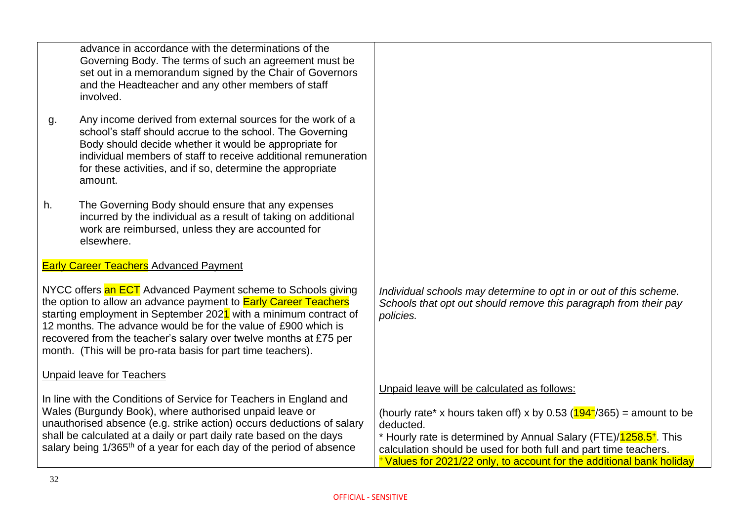|    | advance in accordance with the determinations of the<br>Governing Body. The terms of such an agreement must be<br>set out in a memorandum signed by the Chair of Governors<br>and the Headteacher and any other members of staff<br>involved.                                                                                                                                                                     |                                                                                                                                                                                                                                                                                                                                                                     |
|----|-------------------------------------------------------------------------------------------------------------------------------------------------------------------------------------------------------------------------------------------------------------------------------------------------------------------------------------------------------------------------------------------------------------------|---------------------------------------------------------------------------------------------------------------------------------------------------------------------------------------------------------------------------------------------------------------------------------------------------------------------------------------------------------------------|
| g. | Any income derived from external sources for the work of a<br>school's staff should accrue to the school. The Governing<br>Body should decide whether it would be appropriate for<br>individual members of staff to receive additional remuneration<br>for these activities, and if so, determine the appropriate<br>amount.                                                                                      |                                                                                                                                                                                                                                                                                                                                                                     |
| h. | The Governing Body should ensure that any expenses<br>incurred by the individual as a result of taking on additional<br>work are reimbursed, unless they are accounted for<br>elsewhere.                                                                                                                                                                                                                          |                                                                                                                                                                                                                                                                                                                                                                     |
|    | <b>Early Career Teachers Advanced Payment</b>                                                                                                                                                                                                                                                                                                                                                                     |                                                                                                                                                                                                                                                                                                                                                                     |
|    | NYCC offers an ECT Advanced Payment scheme to Schools giving<br>the option to allow an advance payment to <b>Early Career Teachers</b><br>starting employment in September 2021 with a minimum contract of<br>12 months. The advance would be for the value of £900 which is<br>recovered from the teacher's salary over twelve months at £75 per<br>month. (This will be pro-rata basis for part time teachers). | Individual schools may determine to opt in or out of this scheme.<br>Schools that opt out should remove this paragraph from their pay<br>policies.                                                                                                                                                                                                                  |
|    | <b>Unpaid leave for Teachers</b>                                                                                                                                                                                                                                                                                                                                                                                  |                                                                                                                                                                                                                                                                                                                                                                     |
|    | In line with the Conditions of Service for Teachers in England and<br>Wales (Burgundy Book), where authorised unpaid leave or<br>unauthorised absence (e.g. strike action) occurs deductions of salary<br>shall be calculated at a daily or part daily rate based on the days<br>salary being 1/365 <sup>th</sup> of a year for each day of the period of absence                                                 | Unpaid leave will be calculated as follows:<br>(hourly rate* x hours taken off) x by 0.53 ( $194^{+}/365$ ) = amount to be<br>deducted.<br>* Hourly rate is determined by Annual Salary (FTE)/ <sup>1258.5+. This</sup><br>calculation should be used for both full and part time teachers.<br>*Values for 2021/22 only, to account for the additional bank holiday |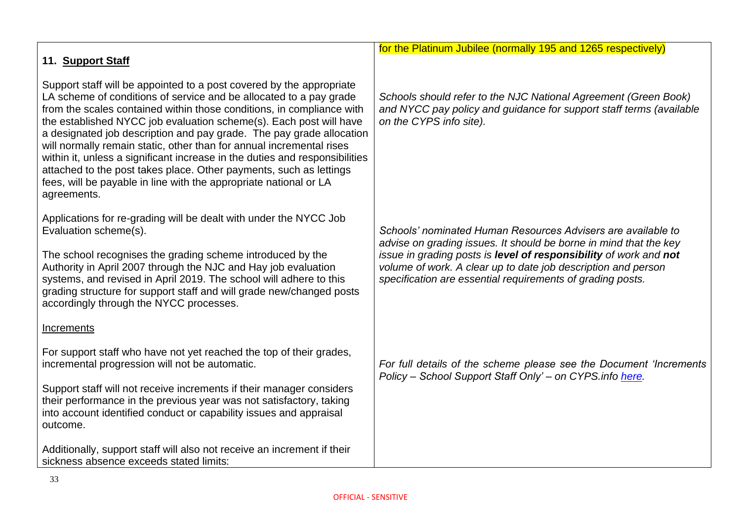| 11. Support Staff                                                                                                                                                                                                                                                                                                                                                                                                                                                                                                                                                                                                                                                                  | for the Platinum Jubilee (normally 195 and 1265 respectively)                                                                                                                                    |
|------------------------------------------------------------------------------------------------------------------------------------------------------------------------------------------------------------------------------------------------------------------------------------------------------------------------------------------------------------------------------------------------------------------------------------------------------------------------------------------------------------------------------------------------------------------------------------------------------------------------------------------------------------------------------------|--------------------------------------------------------------------------------------------------------------------------------------------------------------------------------------------------|
|                                                                                                                                                                                                                                                                                                                                                                                                                                                                                                                                                                                                                                                                                    |                                                                                                                                                                                                  |
| Support staff will be appointed to a post covered by the appropriate<br>LA scheme of conditions of service and be allocated to a pay grade<br>from the scales contained within those conditions, in compliance with<br>the established NYCC job evaluation scheme(s). Each post will have<br>a designated job description and pay grade. The pay grade allocation<br>will normally remain static, other than for annual incremental rises<br>within it, unless a significant increase in the duties and responsibilities<br>attached to the post takes place. Other payments, such as lettings<br>fees, will be payable in line with the appropriate national or LA<br>agreements. | Schools should refer to the NJC National Agreement (Green Book)<br>and NYCC pay policy and guidance for support staff terms (available<br>on the CYPS info site).                                |
| Applications for re-grading will be dealt with under the NYCC Job<br>Evaluation scheme(s).                                                                                                                                                                                                                                                                                                                                                                                                                                                                                                                                                                                         | Schools' nominated Human Resources Advisers are available to<br>advise on grading issues. It should be borne in mind that the key                                                                |
| The school recognises the grading scheme introduced by the<br>Authority in April 2007 through the NJC and Hay job evaluation<br>systems, and revised in April 2019. The school will adhere to this<br>grading structure for support staff and will grade new/changed posts<br>accordingly through the NYCC processes.                                                                                                                                                                                                                                                                                                                                                              | issue in grading posts is level of responsibility of work and not<br>volume of work. A clear up to date job description and person<br>specification are essential requirements of grading posts. |
| Increments                                                                                                                                                                                                                                                                                                                                                                                                                                                                                                                                                                                                                                                                         |                                                                                                                                                                                                  |
| For support staff who have not yet reached the top of their grades,<br>incremental progression will not be automatic.                                                                                                                                                                                                                                                                                                                                                                                                                                                                                                                                                              | For full details of the scheme please see the Document 'Increments'<br>Policy - School Support Staff Only' - on CYPS.info here.                                                                  |
| Support staff will not receive increments if their manager considers<br>their performance in the previous year was not satisfactory, taking<br>into account identified conduct or capability issues and appraisal<br>outcome.                                                                                                                                                                                                                                                                                                                                                                                                                                                      |                                                                                                                                                                                                  |
| Additionally, support staff will also not receive an increment if their<br>sickness absence exceeds stated limits:                                                                                                                                                                                                                                                                                                                                                                                                                                                                                                                                                                 |                                                                                                                                                                                                  |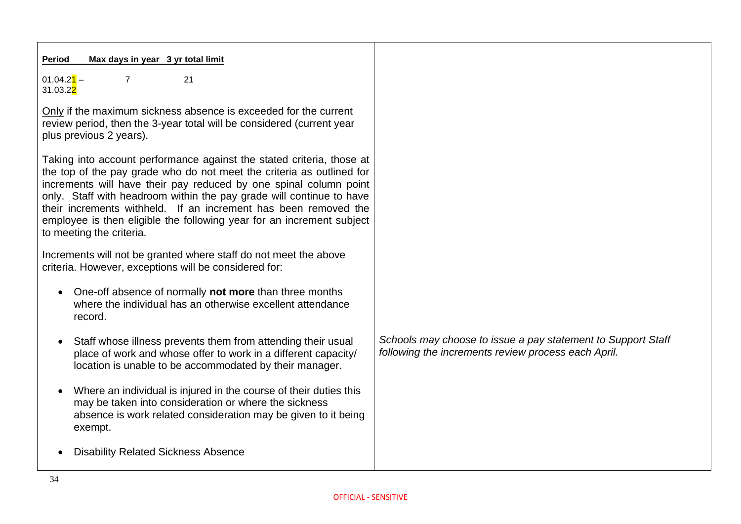| Max days in year 3 yr total limit<br><b>Period</b>                                                                                                                                                                                                                                                                                                                                                                                                                  |                                                                                                                     |
|---------------------------------------------------------------------------------------------------------------------------------------------------------------------------------------------------------------------------------------------------------------------------------------------------------------------------------------------------------------------------------------------------------------------------------------------------------------------|---------------------------------------------------------------------------------------------------------------------|
| $01.04.2$ <sup>1</sup> -<br>$\overline{7}$<br>21<br>31.03.2 <mark>2</mark>                                                                                                                                                                                                                                                                                                                                                                                          |                                                                                                                     |
| Only if the maximum sickness absence is exceeded for the current<br>review period, then the 3-year total will be considered (current year<br>plus previous 2 years).                                                                                                                                                                                                                                                                                                |                                                                                                                     |
| Taking into account performance against the stated criteria, those at<br>the top of the pay grade who do not meet the criteria as outlined for<br>increments will have their pay reduced by one spinal column point<br>only. Staff with headroom within the pay grade will continue to have<br>their increments withheld. If an increment has been removed the<br>employee is then eligible the following year for an increment subject<br>to meeting the criteria. |                                                                                                                     |
| Increments will not be granted where staff do not meet the above<br>criteria. However, exceptions will be considered for:                                                                                                                                                                                                                                                                                                                                           |                                                                                                                     |
| One-off absence of normally not more than three months<br>$\bullet$<br>where the individual has an otherwise excellent attendance<br>record.                                                                                                                                                                                                                                                                                                                        |                                                                                                                     |
| Staff whose illness prevents them from attending their usual<br>$\bullet$<br>place of work and whose offer to work in a different capacity/<br>location is unable to be accommodated by their manager.                                                                                                                                                                                                                                                              | Schools may choose to issue a pay statement to Support Staff<br>following the increments review process each April. |
| Where an individual is injured in the course of their duties this<br>$\bullet$<br>may be taken into consideration or where the sickness<br>absence is work related consideration may be given to it being<br>exempt.                                                                                                                                                                                                                                                |                                                                                                                     |
| <b>Disability Related Sickness Absence</b>                                                                                                                                                                                                                                                                                                                                                                                                                          |                                                                                                                     |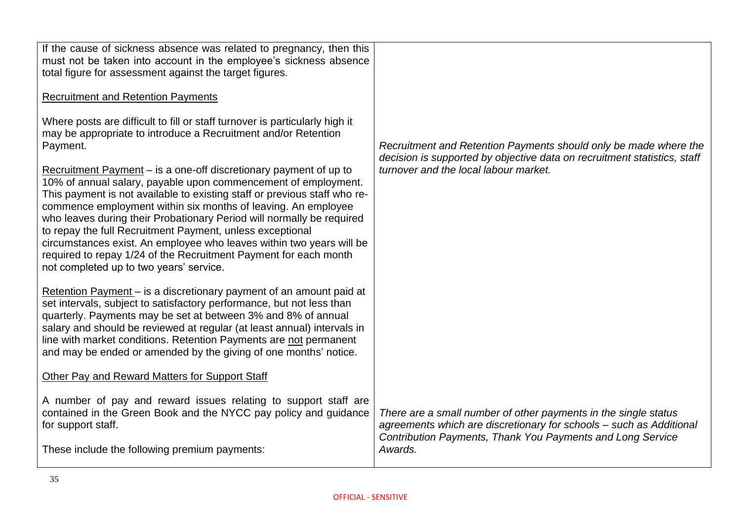| If the cause of sickness absence was related to pregnancy, then this<br>must not be taken into account in the employee's sickness absence<br>total figure for assessment against the target figures.<br><b>Recruitment and Retention Payments</b><br>Where posts are difficult to fill or staff turnover is particularly high it<br>may be appropriate to introduce a Recruitment and/or Retention<br>Payment.<br>Recruitment Payment – is a one-off discretionary payment of up to<br>10% of annual salary, payable upon commencement of employment.<br>This payment is not available to existing staff or previous staff who re-<br>commence employment within six months of leaving. An employee<br>who leaves during their Probationary Period will normally be required<br>to repay the full Recruitment Payment, unless exceptional<br>circumstances exist. An employee who leaves within two years will be<br>required to repay 1/24 of the Recruitment Payment for each month<br>not completed up to two years' service. | Recruitment and Retention Payments should only be made where the<br>decision is supported by objective data on recruitment statistics, staff<br>turnover and the local labour market.                           |
|----------------------------------------------------------------------------------------------------------------------------------------------------------------------------------------------------------------------------------------------------------------------------------------------------------------------------------------------------------------------------------------------------------------------------------------------------------------------------------------------------------------------------------------------------------------------------------------------------------------------------------------------------------------------------------------------------------------------------------------------------------------------------------------------------------------------------------------------------------------------------------------------------------------------------------------------------------------------------------------------------------------------------------|-----------------------------------------------------------------------------------------------------------------------------------------------------------------------------------------------------------------|
| Retention Payment – is a discretionary payment of an amount paid at<br>set intervals, subject to satisfactory performance, but not less than<br>quarterly. Payments may be set at between 3% and 8% of annual<br>salary and should be reviewed at regular (at least annual) intervals in<br>line with market conditions. Retention Payments are not permanent<br>and may be ended or amended by the giving of one months' notice.                                                                                                                                                                                                                                                                                                                                                                                                                                                                                                                                                                                                |                                                                                                                                                                                                                 |
| Other Pay and Reward Matters for Support Staff                                                                                                                                                                                                                                                                                                                                                                                                                                                                                                                                                                                                                                                                                                                                                                                                                                                                                                                                                                                   |                                                                                                                                                                                                                 |
| A number of pay and reward issues relating to support staff are<br>contained in the Green Book and the NYCC pay policy and guidance<br>for support staff.<br>These include the following premium payments:                                                                                                                                                                                                                                                                                                                                                                                                                                                                                                                                                                                                                                                                                                                                                                                                                       | There are a small number of other payments in the single status<br>agreements which are discretionary for schools - such as Additional<br>Contribution Payments, Thank You Payments and Long Service<br>Awards. |
|                                                                                                                                                                                                                                                                                                                                                                                                                                                                                                                                                                                                                                                                                                                                                                                                                                                                                                                                                                                                                                  |                                                                                                                                                                                                                 |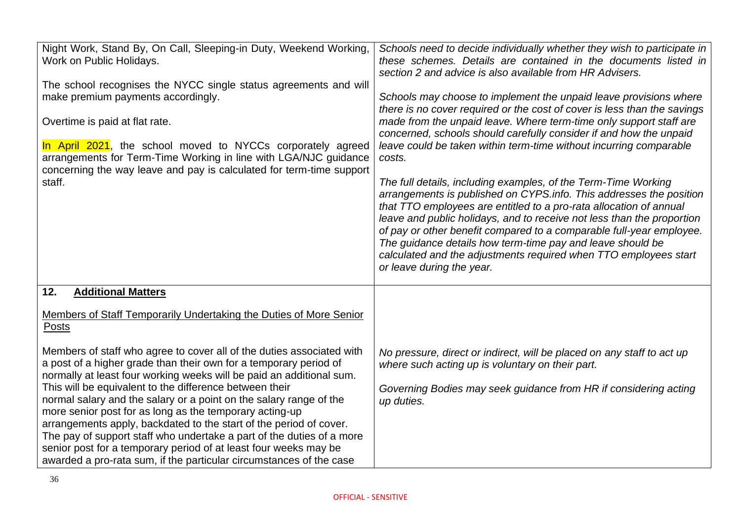| Night Work, Stand By, On Call, Sleeping-in Duty, Weekend Working,<br>Work on Public Holidays.<br>The school recognises the NYCC single status agreements and will<br>make premium payments accordingly.<br>Overtime is paid at flat rate.<br>In April 2021, the school moved to NYCCs corporately agreed<br>arrangements for Term-Time Working in line with LGA/NJC guidance<br>concerning the way leave and pay is calculated for term-time support<br>staff.                                                                                                                                                                                                                                                                                                                                                              | Schools need to decide individually whether they wish to participate in<br>these schemes. Details are contained in the documents listed in<br>section 2 and advice is also available from HR Advisers.<br>Schools may choose to implement the unpaid leave provisions where<br>there is no cover required or the cost of cover is less than the savings<br>made from the unpaid leave. Where term-time only support staff are<br>concerned, schools should carefully consider if and how the unpaid<br>leave could be taken within term-time without incurring comparable<br>costs.<br>The full details, including examples, of the Term-Time Working<br>arrangements is published on CYPS.info. This addresses the position<br>that TTO employees are entitled to a pro-rata allocation of annual<br>leave and public holidays, and to receive not less than the proportion<br>of pay or other benefit compared to a comparable full-year employee.<br>The guidance details how term-time pay and leave should be<br>calculated and the adjustments required when TTO employees start<br>or leave during the year. |
|-----------------------------------------------------------------------------------------------------------------------------------------------------------------------------------------------------------------------------------------------------------------------------------------------------------------------------------------------------------------------------------------------------------------------------------------------------------------------------------------------------------------------------------------------------------------------------------------------------------------------------------------------------------------------------------------------------------------------------------------------------------------------------------------------------------------------------|---------------------------------------------------------------------------------------------------------------------------------------------------------------------------------------------------------------------------------------------------------------------------------------------------------------------------------------------------------------------------------------------------------------------------------------------------------------------------------------------------------------------------------------------------------------------------------------------------------------------------------------------------------------------------------------------------------------------------------------------------------------------------------------------------------------------------------------------------------------------------------------------------------------------------------------------------------------------------------------------------------------------------------------------------------------------------------------------------------------------|
| 12.<br><b>Additional Matters</b><br>Members of Staff Temporarily Undertaking the Duties of More Senior<br>Posts<br>Members of staff who agree to cover all of the duties associated with<br>a post of a higher grade than their own for a temporary period of<br>normally at least four working weeks will be paid an additional sum.<br>This will be equivalent to the difference between their<br>normal salary and the salary or a point on the salary range of the<br>more senior post for as long as the temporary acting-up<br>arrangements apply, backdated to the start of the period of cover.<br>The pay of support staff who undertake a part of the duties of a more<br>senior post for a temporary period of at least four weeks may be<br>awarded a pro-rata sum, if the particular circumstances of the case | No pressure, direct or indirect, will be placed on any staff to act up<br>where such acting up is voluntary on their part.<br>Governing Bodies may seek guidance from HR if considering acting<br>up duties.                                                                                                                                                                                                                                                                                                                                                                                                                                                                                                                                                                                                                                                                                                                                                                                                                                                                                                        |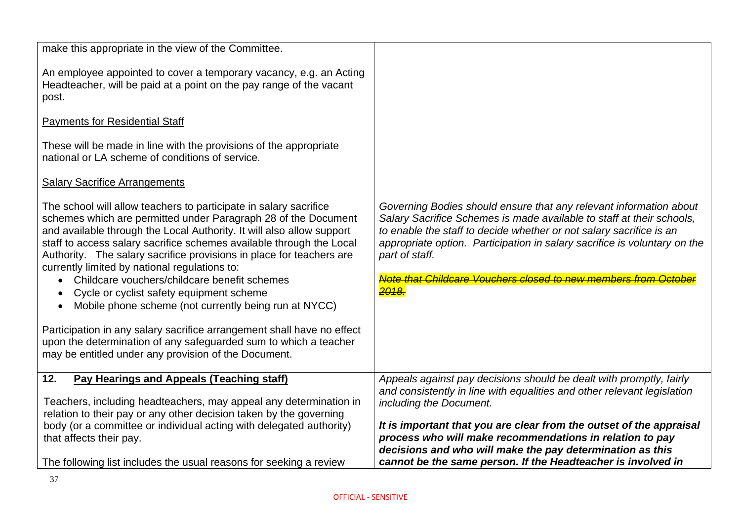| make this appropriate in the view of the Committee.                                                                                                                                                                                                                                                                                                                                                                                                                                                                                                                                                                                                                                                                                                                      |                                                                                                                                                                                                                                                                                                                                                                                                        |
|--------------------------------------------------------------------------------------------------------------------------------------------------------------------------------------------------------------------------------------------------------------------------------------------------------------------------------------------------------------------------------------------------------------------------------------------------------------------------------------------------------------------------------------------------------------------------------------------------------------------------------------------------------------------------------------------------------------------------------------------------------------------------|--------------------------------------------------------------------------------------------------------------------------------------------------------------------------------------------------------------------------------------------------------------------------------------------------------------------------------------------------------------------------------------------------------|
| An employee appointed to cover a temporary vacancy, e.g. an Acting<br>Headteacher, will be paid at a point on the pay range of the vacant<br>post.                                                                                                                                                                                                                                                                                                                                                                                                                                                                                                                                                                                                                       |                                                                                                                                                                                                                                                                                                                                                                                                        |
| <b>Payments for Residential Staff</b>                                                                                                                                                                                                                                                                                                                                                                                                                                                                                                                                                                                                                                                                                                                                    |                                                                                                                                                                                                                                                                                                                                                                                                        |
| These will be made in line with the provisions of the appropriate<br>national or LA scheme of conditions of service.                                                                                                                                                                                                                                                                                                                                                                                                                                                                                                                                                                                                                                                     |                                                                                                                                                                                                                                                                                                                                                                                                        |
| <b>Salary Sacrifice Arrangements</b>                                                                                                                                                                                                                                                                                                                                                                                                                                                                                                                                                                                                                                                                                                                                     |                                                                                                                                                                                                                                                                                                                                                                                                        |
| The school will allow teachers to participate in salary sacrifice<br>schemes which are permitted under Paragraph 28 of the Document<br>and available through the Local Authority. It will also allow support<br>staff to access salary sacrifice schemes available through the Local<br>Authority. The salary sacrifice provisions in place for teachers are<br>currently limited by national regulations to:<br>Childcare vouchers/childcare benefit schemes<br>Cycle or cyclist safety equipment scheme<br>Mobile phone scheme (not currently being run at NYCC)<br>Participation in any salary sacrifice arrangement shall have no effect<br>upon the determination of any safeguarded sum to which a teacher<br>may be entitled under any provision of the Document. | Governing Bodies should ensure that any relevant information about<br>Salary Sacrifice Schemes is made available to staff at their schools,<br>to enable the staff to decide whether or not salary sacrifice is an<br>appropriate option. Participation in salary sacrifice is voluntary on the<br>part of staff.<br>Note that Childcare Vouchers closed to new members from Oct<br><mark>2018.</mark> |
| 12.<br><b>Pay Hearings and Appeals (Teaching staff)</b>                                                                                                                                                                                                                                                                                                                                                                                                                                                                                                                                                                                                                                                                                                                  | Appeals against pay decisions should be dealt with promptly, fairly<br>and consistently in line with equalities and other relevant legislation                                                                                                                                                                                                                                                         |
| Teachers, including headteachers, may appeal any determination in<br>relation to their pay or any other decision taken by the governing                                                                                                                                                                                                                                                                                                                                                                                                                                                                                                                                                                                                                                  | including the Document.                                                                                                                                                                                                                                                                                                                                                                                |
| body (or a committee or individual acting with delegated authority)                                                                                                                                                                                                                                                                                                                                                                                                                                                                                                                                                                                                                                                                                                      | It is important that you are clear from the outset of the appraisal                                                                                                                                                                                                                                                                                                                                    |
| that affects their pay.                                                                                                                                                                                                                                                                                                                                                                                                                                                                                                                                                                                                                                                                                                                                                  | process who will make recommendations in relation to pay<br>decisions and who will make the pay determination as this                                                                                                                                                                                                                                                                                  |
| The following list includes the usual reasons for seeking a review                                                                                                                                                                                                                                                                                                                                                                                                                                                                                                                                                                                                                                                                                                       | cannot be the same person. If the Headteacher is involved in                                                                                                                                                                                                                                                                                                                                           |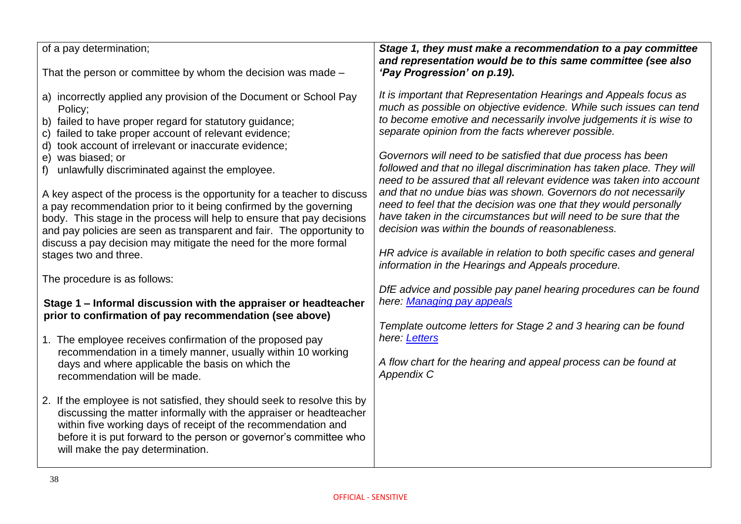| of a pay determination;<br>That the person or committee by whom the decision was made -                                                                                                                                                                                                                                                                                                                                                                                                                                                                                                                                                                                                                                                  | Stage 1, they must make a recommendation to a pay committee<br>and representation would be to this same committee (see also<br>'Pay Progression' on p.19).                                                                                                                                                                                                                                                                                                                                                                                                                                                                                                                                                                                                                                                                       |
|------------------------------------------------------------------------------------------------------------------------------------------------------------------------------------------------------------------------------------------------------------------------------------------------------------------------------------------------------------------------------------------------------------------------------------------------------------------------------------------------------------------------------------------------------------------------------------------------------------------------------------------------------------------------------------------------------------------------------------------|----------------------------------------------------------------------------------------------------------------------------------------------------------------------------------------------------------------------------------------------------------------------------------------------------------------------------------------------------------------------------------------------------------------------------------------------------------------------------------------------------------------------------------------------------------------------------------------------------------------------------------------------------------------------------------------------------------------------------------------------------------------------------------------------------------------------------------|
| a) incorrectly applied any provision of the Document or School Pay<br>Policy;<br>b) failed to have proper regard for statutory guidance;<br>c) failed to take proper account of relevant evidence;<br>d) took account of irrelevant or inaccurate evidence;<br>e) was biased; or<br>unlawfully discriminated against the employee.<br>f)<br>A key aspect of the process is the opportunity for a teacher to discuss<br>a pay recommendation prior to it being confirmed by the governing<br>body. This stage in the process will help to ensure that pay decisions<br>and pay policies are seen as transparent and fair. The opportunity to<br>discuss a pay decision may mitigate the need for the more formal<br>stages two and three. | It is important that Representation Hearings and Appeals focus as<br>much as possible on objective evidence. While such issues can tend<br>to become emotive and necessarily involve judgements it is wise to<br>separate opinion from the facts wherever possible.<br>Governors will need to be satisfied that due process has been<br>followed and that no illegal discrimination has taken place. They will<br>need to be assured that all relevant evidence was taken into account<br>and that no undue bias was shown. Governors do not necessarily<br>need to feel that the decision was one that they would personally<br>have taken in the circumstances but will need to be sure that the<br>decision was within the bounds of reasonableness.<br>HR advice is available in relation to both specific cases and general |
| The procedure is as follows:                                                                                                                                                                                                                                                                                                                                                                                                                                                                                                                                                                                                                                                                                                             | information in the Hearings and Appeals procedure.                                                                                                                                                                                                                                                                                                                                                                                                                                                                                                                                                                                                                                                                                                                                                                               |
| Stage 1 – Informal discussion with the appraiser or headteacher<br>prior to confirmation of pay recommendation (see above)                                                                                                                                                                                                                                                                                                                                                                                                                                                                                                                                                                                                               | DfE advice and possible pay panel hearing procedures can be found<br>here: Managing pay appeals                                                                                                                                                                                                                                                                                                                                                                                                                                                                                                                                                                                                                                                                                                                                  |
| 1. The employee receives confirmation of the proposed pay                                                                                                                                                                                                                                                                                                                                                                                                                                                                                                                                                                                                                                                                                | Template outcome letters for Stage 2 and 3 hearing can be found<br>here: Letters                                                                                                                                                                                                                                                                                                                                                                                                                                                                                                                                                                                                                                                                                                                                                 |
| recommendation in a timely manner, usually within 10 working<br>days and where applicable the basis on which the<br>recommendation will be made.                                                                                                                                                                                                                                                                                                                                                                                                                                                                                                                                                                                         | A flow chart for the hearing and appeal process can be found at<br><b>Appendix C</b>                                                                                                                                                                                                                                                                                                                                                                                                                                                                                                                                                                                                                                                                                                                                             |
| 2. If the employee is not satisfied, they should seek to resolve this by<br>discussing the matter informally with the appraiser or headteacher<br>within five working days of receipt of the recommendation and<br>before it is put forward to the person or governor's committee who<br>will make the pay determination.                                                                                                                                                                                                                                                                                                                                                                                                                |                                                                                                                                                                                                                                                                                                                                                                                                                                                                                                                                                                                                                                                                                                                                                                                                                                  |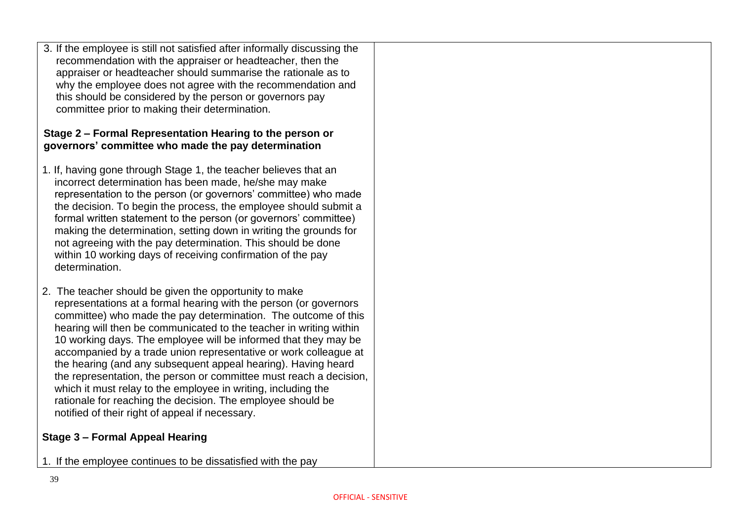3. If the employee is still not satisfied after informally discussing the recommendation with the appraiser or headteacher, then the appraiser or headteacher should summarise the rationale as to why the employee does not agree with the recommendation and this should be considered by the person or governors pay committee prior to making their determination.

#### **Stage 2 – Formal Representation Hearing to the person or governors' committee who made the pay determination**

- 1. If, having gone through Stage 1, the teacher believes that an incorrect determination has been made, he/she may make representation to the person (or governors' committee) who made the decision. To begin the process, the employee should submit a formal written statement to the person (or governors' committee) making the determination, setting down in writing the grounds for not agreeing with the pay determination. This should be done within 10 working days of receiving confirmation of the pay determination.
- 2. The teacher should be given the opportunity to make representations at a formal hearing with the person (or governors committee) who made the pay determination. The outcome of this hearing will then be communicated to the teacher in writing within 10 working days. The employee will be informed that they may be accompanied by a trade union representative or work colleague at the hearing (and any subsequent appeal hearing). Having heard the representation, the person or committee must reach a decision, which it must relay to the employee in writing, including the rationale for reaching the decision. The employee should be notified of their right of appeal if necessary.

#### **Stage 3 – Formal Appeal Hearing**

1. If the employee continues to be dissatisfied with the pay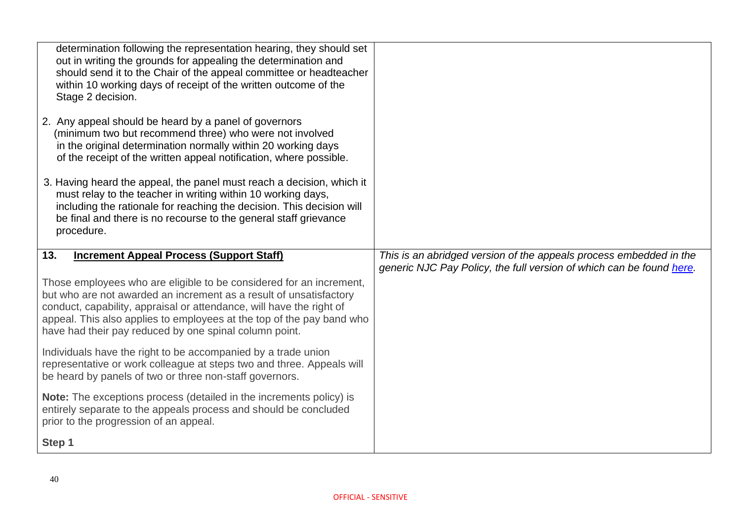| determination following the representation hearing, they should set<br>out in writing the grounds for appealing the determination and<br>should send it to the Chair of the appeal committee or headteacher<br>within 10 working days of receipt of the written outcome of the<br>Stage 2 decision.<br>2. Any appeal should be heard by a panel of governors<br>(minimum two but recommend three) who were not involved<br>in the original determination normally within 20 working days<br>of the receipt of the written appeal notification, where possible. |                                                                                                                                            |
|----------------------------------------------------------------------------------------------------------------------------------------------------------------------------------------------------------------------------------------------------------------------------------------------------------------------------------------------------------------------------------------------------------------------------------------------------------------------------------------------------------------------------------------------------------------|--------------------------------------------------------------------------------------------------------------------------------------------|
| 3. Having heard the appeal, the panel must reach a decision, which it<br>must relay to the teacher in writing within 10 working days,<br>including the rationale for reaching the decision. This decision will<br>be final and there is no recourse to the general staff grievance<br>procedure.                                                                                                                                                                                                                                                               |                                                                                                                                            |
| 13.<br><b>Increment Appeal Process (Support Staff)</b>                                                                                                                                                                                                                                                                                                                                                                                                                                                                                                         | This is an abridged version of the appeals process embedded in the<br>generic NJC Pay Policy, the full version of which can be found here. |
| Those employees who are eligible to be considered for an increment,<br>but who are not awarded an increment as a result of unsatisfactory<br>conduct, capability, appraisal or attendance, will have the right of<br>appeal. This also applies to employees at the top of the pay band who                                                                                                                                                                                                                                                                     |                                                                                                                                            |
| have had their pay reduced by one spinal column point.                                                                                                                                                                                                                                                                                                                                                                                                                                                                                                         |                                                                                                                                            |
| Individuals have the right to be accompanied by a trade union<br>representative or work colleague at steps two and three. Appeals will<br>be heard by panels of two or three non-staff governors.                                                                                                                                                                                                                                                                                                                                                              |                                                                                                                                            |
| <b>Note:</b> The exceptions process (detailed in the increments policy) is<br>entirely separate to the appeals process and should be concluded<br>prior to the progression of an appeal.                                                                                                                                                                                                                                                                                                                                                                       |                                                                                                                                            |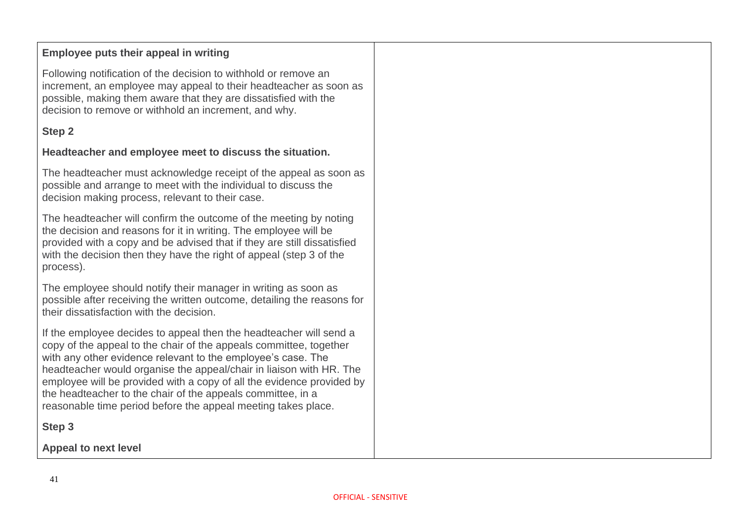#### **Employee puts their appeal in writing**

Following notification of the decision to withhold or remove an increment, an employee may appeal to their headteacher as soon as possible, making them aware that they are dissatisfied with the decision to remove or withhold an increment, and why.

### **Step 2**

#### **Headteacher and employee meet to discuss the situation.**

The headteacher must acknowledge receipt of the appeal as soon as possible and arrange to meet with the individual to discuss the decision making process, relevant to their case.

The headteacher will confirm the outcome of the meeting by noting the decision and reasons for it in writing. The employee will be provided with a copy and be advised that if they are still dissatisfied with the decision then they have the right of appeal (step 3 of the process).

The employee should notify their manager in writing as soon as possible after receiving the written outcome, detailing the reasons for their dissatisfaction with the decision.

If the employee decides to appeal then the headteacher will send a copy of the appeal to the chair of the appeals committee, together with any other evidence relevant to the employee's case. The headteacher would organise the appeal/chair in liaison with HR. The employee will be provided with a copy of all the evidence provided by the headteacher to the chair of the appeals committee, in a reasonable time period before the appeal meeting takes place.

**Step 3**

**Appeal to next level**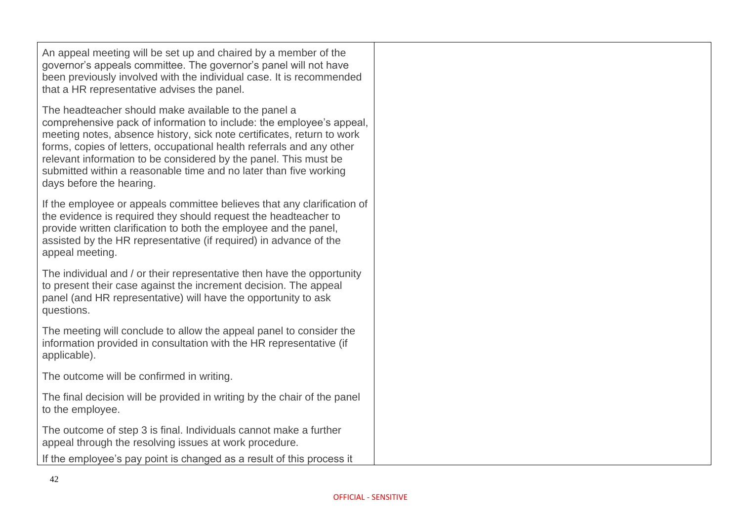An appeal meeting will be set up and chaired by a member of the governor's appeals committee. The governor's panel will not have been previously involved with the individual case. It is recommended that a HR representative advises the panel.

The headteacher should make available to the panel a comprehensive pack of information to include: the employee's appeal, meeting notes, absence history, sick note certificates, return to work forms, copies of letters, occupational health referrals and any other relevant information to be considered by the panel. This must be submitted within a reasonable time and no later than five working days before the hearing.

If the employee or appeals committee believes that any clarification of the evidence is required they should request the headteacher to provide written clarification to both the employee and the panel, assisted by the HR representative (if required) in advance of the appeal meeting.

The individual and / or their representative then have the opportunity to present their case against the increment decision. The appeal panel (and HR representative) will have the opportunity to ask questions.

The meeting will conclude to allow the appeal panel to consider the information provided in consultation with the HR representative (if applicable).

The outcome will be confirmed in writing.

The final decision will be provided in writing by the chair of the panel to the employee.

The outcome of step 3 is final. Individuals cannot make a further appeal through the resolving issues at work procedure.

If the employee's pay point is changed as a result of this process it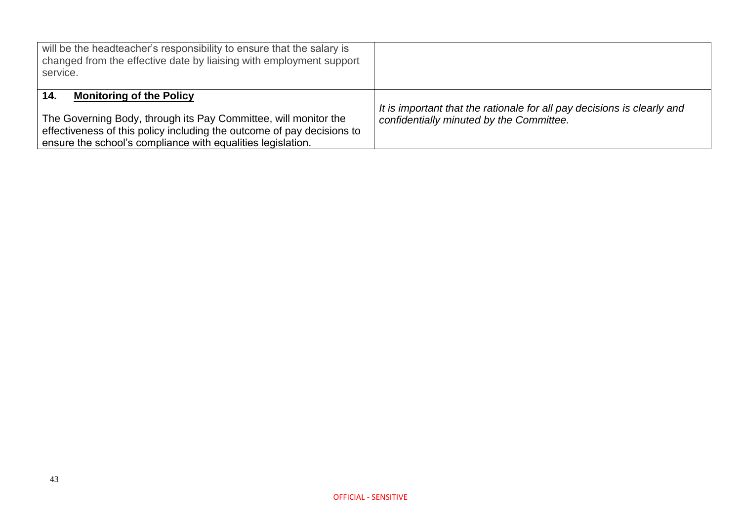| will be the headteacher's responsibility to ensure that the salary is<br>changed from the effective date by liaising with employment support<br>service.                                                                                           |                                                                                                                     |
|----------------------------------------------------------------------------------------------------------------------------------------------------------------------------------------------------------------------------------------------------|---------------------------------------------------------------------------------------------------------------------|
| <b>Monitoring of the Policy</b><br>14.<br>The Governing Body, through its Pay Committee, will monitor the<br>effectiveness of this policy including the outcome of pay decisions to<br>ensure the school's compliance with equalities legislation. | It is important that the rationale for all pay decisions is clearly and<br>confidentially minuted by the Committee. |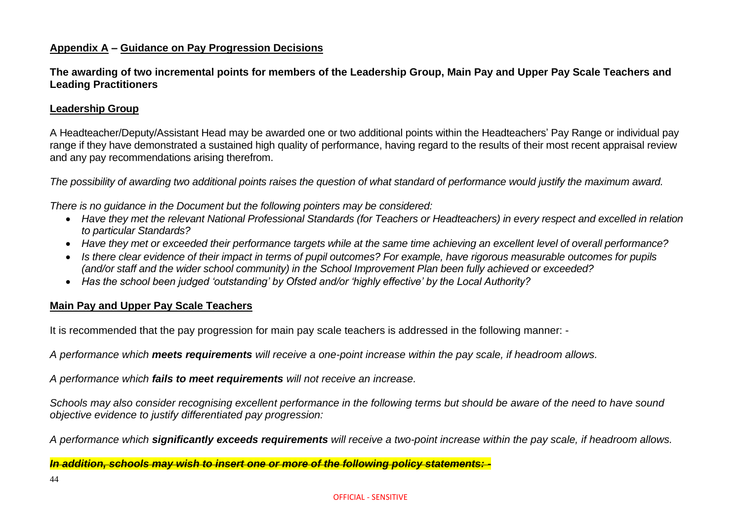#### **Appendix A – Guidance on Pay Progression Decisions**

**The awarding of two incremental points for members of the Leadership Group, Main Pay and Upper Pay Scale Teachers and Leading Practitioners**

#### **Leadership Group**

A Headteacher/Deputy/Assistant Head may be awarded one or two additional points within the Headteachers' Pay Range or individual pay range if they have demonstrated a sustained high quality of performance, having regard to the results of their most recent appraisal review and any pay recommendations arising therefrom.

*The possibility of awarding two additional points raises the question of what standard of performance would justify the maximum award.*

*There is no guidance in the Document but the following pointers may be considered:*

- *Have they met the relevant National Professional Standards (for Teachers or Headteachers) in every respect and excelled in relation to particular Standards?*
- *Have they met or exceeded their performance targets while at the same time achieving an excellent level of overall performance?*
- *Is there clear evidence of their impact in terms of pupil outcomes? For example, have rigorous measurable outcomes for pupils (and/or staff and the wider school community) in the School Improvement Plan been fully achieved or exceeded?*
- *Has the school been judged 'outstanding' by Ofsted and/or 'highly effective' by the Local Authority?*

#### **Main Pay and Upper Pay Scale Teachers**

It is recommended that the pay progression for main pay scale teachers is addressed in the following manner: -

*A performance which meets requirements will receive a one-point increase within the pay scale, if headroom allows.*

*A performance which fails to meet requirements will not receive an increase.*

*Schools may also consider recognising excellent performance in the following terms but should be aware of the need to have sound objective evidence to justify differentiated pay progression:*

*A performance which significantly exceeds requirements will receive a two-point increase within the pay scale, if headroom allows.*

*In addition, schools may wish to insert one or more of the following policy statements: -*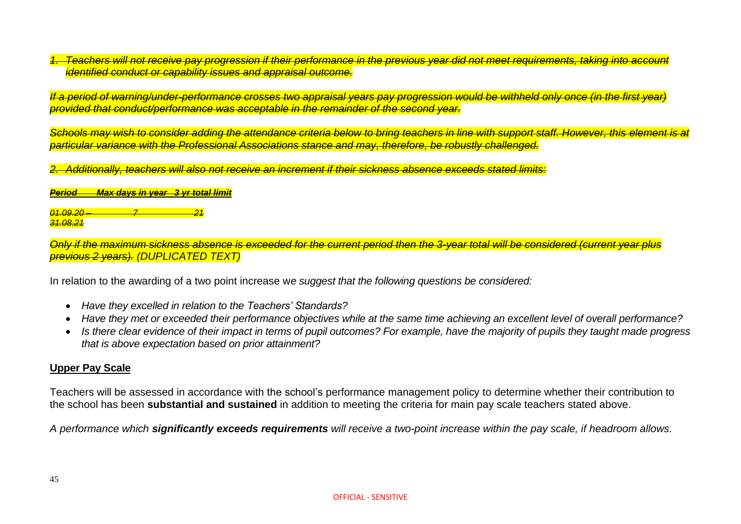*1. Teachers will not receive pay progression if their performance in the previous year did not meet requirements, taking into account identified conduct or capability issues and appraisal outcome.*

*If a period of warning/under-performance crosses two appraisal years pay progression would be withheld only once (in the first year) provided that conduct/performance was acceptable in the remainder of the second year.*

*Schools may wish to consider adding the attendance criteria below to bring teachers in line with support staff. However, this element is at particular variance with the Professional Associations stance and may, therefore, be robustly challenged.*

*2. Additionally, teachers will also not receive an increment if their sickness absence exceeds stated limits:*

*Period Max days in year 3 yr total limit*

*01.09.20 – 7 21 31.08.21*

*Only if the maximum sickness absence is exceeded for the current period then the 3-year total will be considered (current year plus previous 2 years). (DUPLICATED TEXT)*

In relation to the awarding of a two point increase w*e suggest that the following questions be considered:* 

- *Have they excelled in relation to the Teachers' Standards?*
- *Have they met or exceeded their performance objectives while at the same time achieving an excellent level of overall performance?*
- *Is there clear evidence of their impact in terms of pupil outcomes? For example, have the majority of pupils they taught made progress that is above expectation based on prior attainment?*

#### **Upper Pay Scale**

Teachers will be assessed in accordance with the school's performance management policy to determine whether their contribution to the school has been **substantial and sustained** in addition to meeting the criteria for main pay scale teachers stated above.

*A performance which significantly exceeds requirements will receive a two-point increase within the pay scale, if headroom allows.*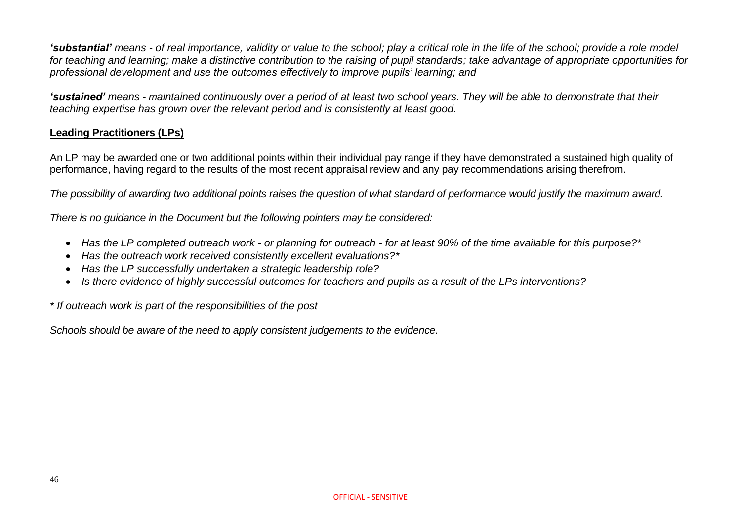*'substantial' means - of real importance, validity or value to the school; play a critical role in the life of the school; provide a role model for teaching and learning; make a distinctive contribution to the raising of pupil standards; take advantage of appropriate opportunities for professional development and use the outcomes effectively to improve pupils' learning; and* 

*'sustained' means - maintained continuously over a period of at least two school years. They will be able to demonstrate that their teaching expertise has grown over the relevant period and is consistently at least good.*

#### **Leading Practitioners (LPs)**

An LP may be awarded one or two additional points within their individual pay range if they have demonstrated a sustained high quality of performance, having regard to the results of the most recent appraisal review and any pay recommendations arising therefrom.

*The possibility of awarding two additional points raises the question of what standard of performance would justify the maximum award.*

*There is no guidance in the Document but the following pointers may be considered:*

- *Has the LP completed outreach work - or planning for outreach - for at least 90% of the time available for this purpose?\**
- *Has the outreach work received consistently excellent evaluations?\**
- *Has the LP successfully undertaken a strategic leadership role?*
- *Is there evidence of highly successful outcomes for teachers and pupils as a result of the LPs interventions?*

*\* If outreach work is part of the responsibilities of the post*

*Schools should be aware of the need to apply consistent judgements to the evidence.*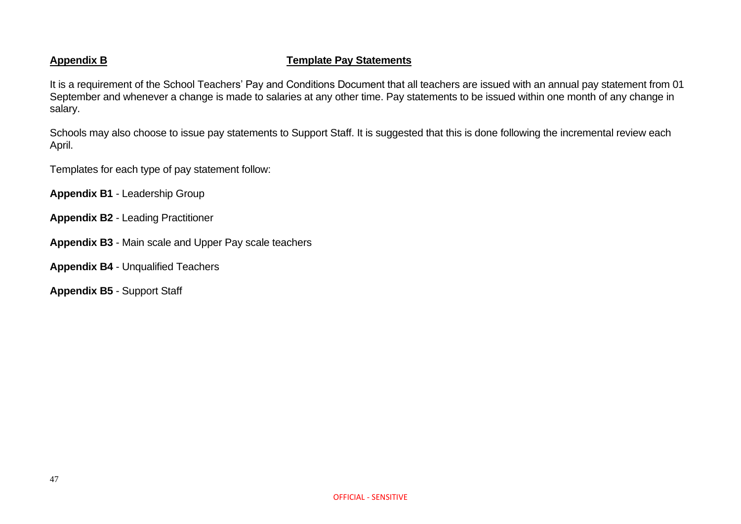#### **Appendix B Template Pay Statements**

It is a requirement of the School Teachers' Pay and Conditions Document that all teachers are issued with an annual pay statement from 01 September and whenever a change is made to salaries at any other time. Pay statements to be issued within one month of any change in salary.

Schools may also choose to issue pay statements to Support Staff. It is suggested that this is done following the incremental review each April.

Templates for each type of pay statement follow:

**Appendix B1** - Leadership Group

- **Appendix B2** Leading Practitioner
- **Appendix B3** Main scale and Upper Pay scale teachers
- **Appendix B4** Unqualified Teachers

**Appendix B5** - Support Staff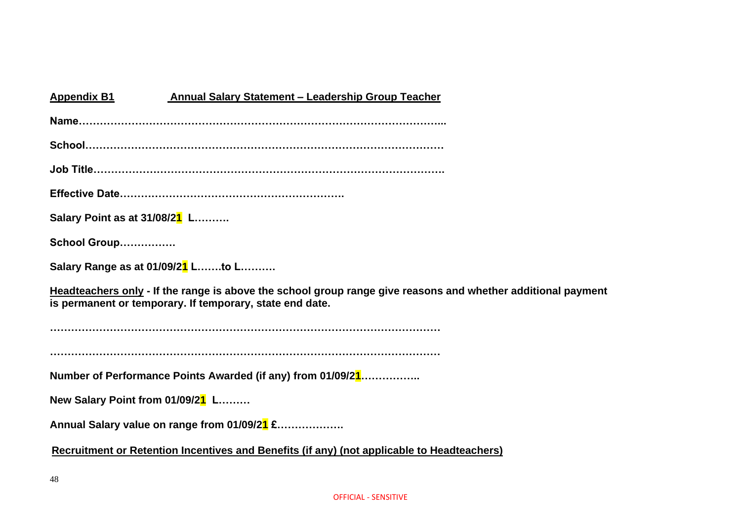| <b>Annual Salary Statement - Leadership Group Teacher</b><br><b>Appendix B1</b>                                                                                          |
|--------------------------------------------------------------------------------------------------------------------------------------------------------------------------|
|                                                                                                                                                                          |
|                                                                                                                                                                          |
| Job Title…………………………………………………………………………………………                                                                                                                              |
|                                                                                                                                                                          |
| Salary Point as at 31/08/21 L                                                                                                                                            |
| School Group                                                                                                                                                             |
| Salary Range as at 01/09/21 Lto L                                                                                                                                        |
| Headteachers only - If the range is above the school group range give reasons and whether additional payment<br>is permanent or temporary. If temporary, state end date. |
|                                                                                                                                                                          |
|                                                                                                                                                                          |
| Number of Performance Points Awarded (if any) from 01/09/21                                                                                                              |
| New Salary Point from 01/09/21 L                                                                                                                                         |
| Annual Salary value on range from 01/09/21 £                                                                                                                             |
| Recruitment or Retention Incentives and Benefits (if any) (not applicable to Headteachers)                                                                               |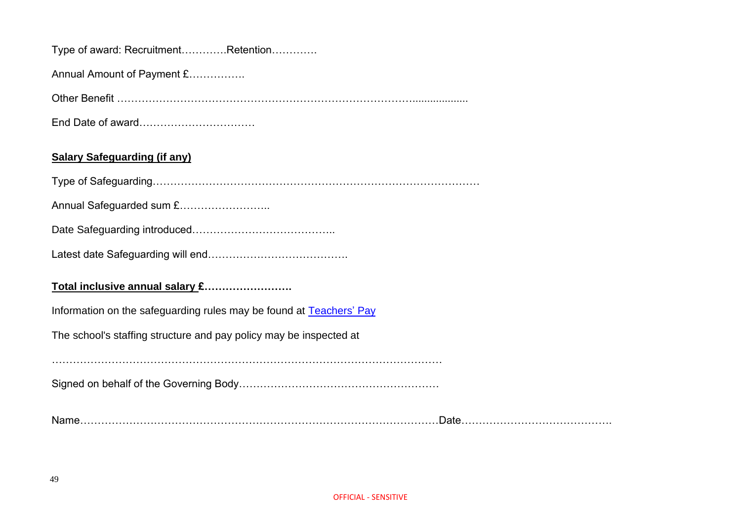|  |  |  | Type of award: RecruitmentRetention |  |
|--|--|--|-------------------------------------|--|
|--|--|--|-------------------------------------|--|

Annual Amount of Payment £…………….

Other Benefit …………………………………………………………………………...................

End Date of award……………………………

#### **Salary Safeguarding (if any)**

Type of Safeguarding…………………………………………………………………………………

Annual Safeguarded sum £……………………..

Date Safeguarding introduced…………………………………..

Latest date Safeguarding will end………………………………….

#### **Total inclusive annual salary £…………………….**

Information on the safeguarding rules may be found at [Teachers'](https://www.gov.uk/search?q=Teachers+Pay) Pay

The school's staffing structure and pay policy may be inspected at

Signed on behalf of the Governing Body…………………………………………………

Name…………………………………………………………………………………………Date…………………………………….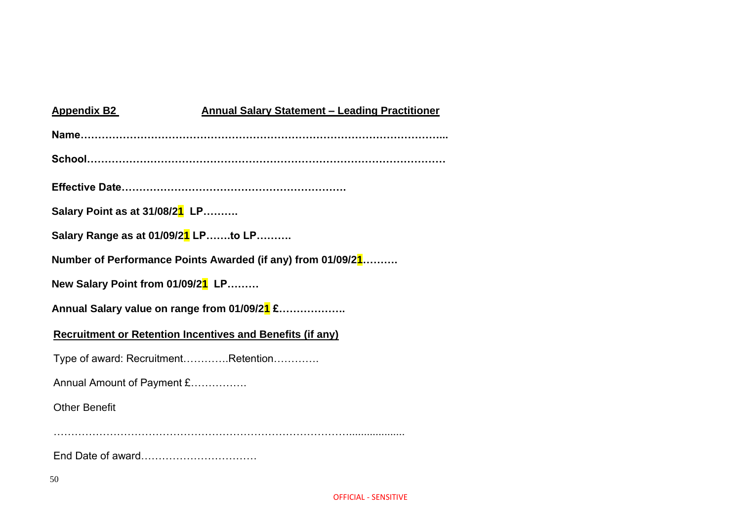| <b>Appendix B2</b>                                               | <b>Annual Salary Statement - Leading Practitioner</b>       |
|------------------------------------------------------------------|-------------------------------------------------------------|
|                                                                  |                                                             |
|                                                                  |                                                             |
|                                                                  |                                                             |
| Salary Point as at 31/08/21 LP                                   |                                                             |
| Salary Range as at 01/09/21 LPto LP                              |                                                             |
|                                                                  | Number of Performance Points Awarded (if any) from 01/09/21 |
| New Salary Point from 01/09/21 LP                                |                                                             |
| Annual Salary value on range from 01/09/21 £                     |                                                             |
| <b>Recruitment or Retention Incentives and Benefits (if any)</b> |                                                             |
| Type of award: RecruitmentRetention                              |                                                             |
| Annual Amount of Payment £                                       |                                                             |
| <b>Other Benefit</b>                                             |                                                             |
|                                                                  |                                                             |
|                                                                  |                                                             |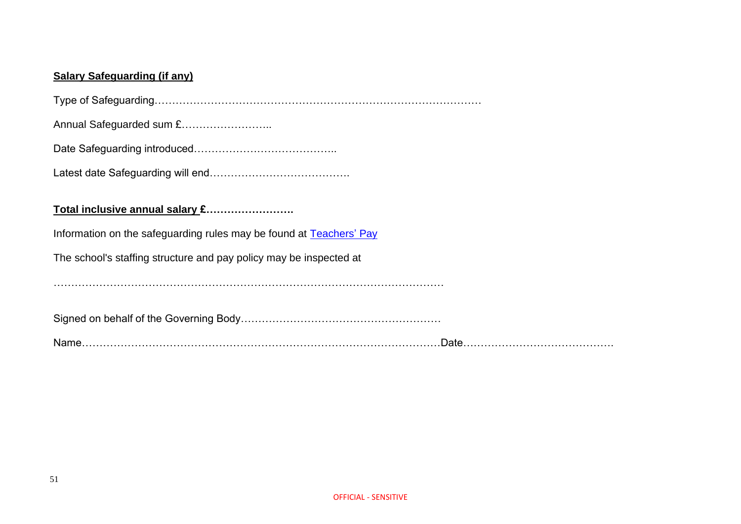#### **Salary Safeguarding (if any)**

Type of Safeguarding…………………………………………………………………………………

Annual Safeguarded sum £……………………..

Date Safeguarding introduced…………………………………..

Latest date Safeguarding will end………………………………….

#### **Total inclusive annual salary £…………………….**

Information on the safeguarding rules may be found at [Teachers'](https://www.gov.uk/search?q=Teachers+Pay) Pay

The school's staffing structure and pay policy may be inspected at

…………………………………………………………………………………………………

Signed on behalf of the Governing Body…………………………………………………

Name…………………………………………………………………………………………Date…………………………………….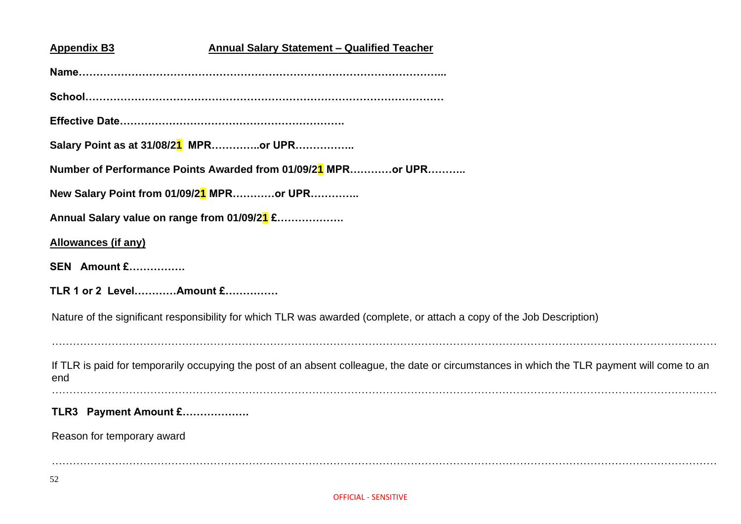| <b>Appendix B3</b><br><b>Annual Salary Statement - Qualified Teacher</b>                                                                            |
|-----------------------------------------------------------------------------------------------------------------------------------------------------|
|                                                                                                                                                     |
|                                                                                                                                                     |
|                                                                                                                                                     |
| Salary Point as at 31/08/21 MPRor UPR                                                                                                               |
| Number of Performance Points Awarded from 01/09/21 MPRor UPR                                                                                        |
| New Salary Point from 01/09/21 MPRor UPR                                                                                                            |
| Annual Salary value on range from 01/09/21 £                                                                                                        |
| <b>Allowances (if any)</b>                                                                                                                          |
| <b>SEN</b> Amount £                                                                                                                                 |
| TLR 1 or 2 LevelAmount £                                                                                                                            |
| Nature of the significant responsibility for which TLR was awarded (complete, or attach a copy of the Job Description)                              |
| If TLR is paid for temporarily occupying the post of an absent colleague, the date or circumstances in which the TLR payment will come to an<br>end |
| TLR3 Payment Amount £                                                                                                                               |
| Reason for temporary award                                                                                                                          |
|                                                                                                                                                     |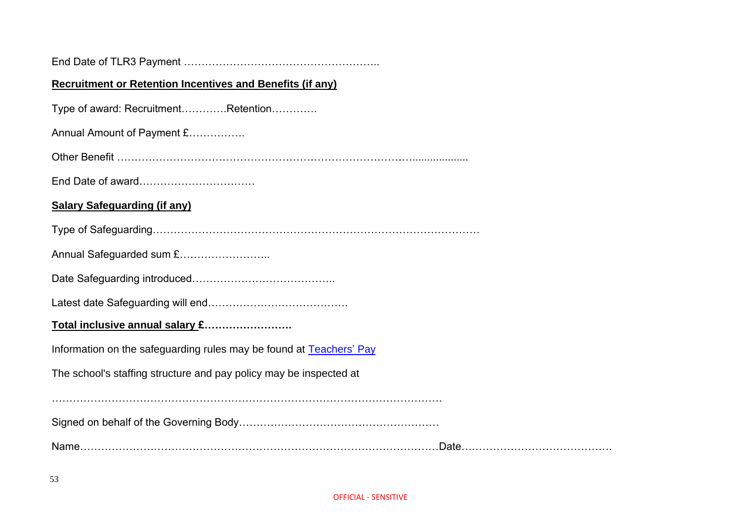| <b>Recruitment or Retention Incentives and Benefits (if any)</b>    |  |  |  |
|---------------------------------------------------------------------|--|--|--|
| Type of award: RecruitmentRetention                                 |  |  |  |
| Annual Amount of Payment £                                          |  |  |  |
|                                                                     |  |  |  |
|                                                                     |  |  |  |
| <b>Salary Safeguarding (if any)</b>                                 |  |  |  |
|                                                                     |  |  |  |
| Annual Safeguarded sum £                                            |  |  |  |
|                                                                     |  |  |  |
|                                                                     |  |  |  |
| Total inclusive annual salary £                                     |  |  |  |
| Information on the safeguarding rules may be found at Teachers' Pay |  |  |  |
| The school's staffing structure and pay policy may be inspected at  |  |  |  |
|                                                                     |  |  |  |
|                                                                     |  |  |  |
|                                                                     |  |  |  |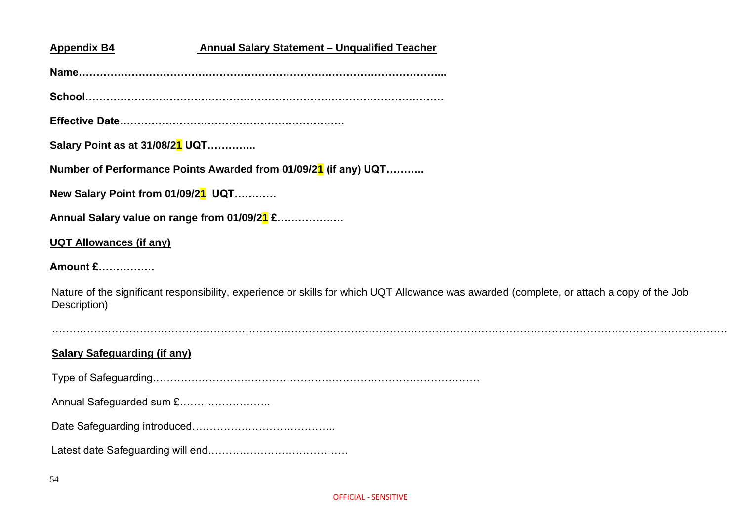#### **Appendix B4 Annual Salary Statement – Unqualified Teacher**

**Name…………………………………………………………………………………………...**

**School…………………………………………………………………………………………**

**Effective Date……………………………………………………….**

**Salary Point as at 31/08/21 UQT…………..**

**Number of Performance Points Awarded from 01/09/21 (if any) UQT………..**

**New Salary Point from 01/09/21 UQT…………**

**Annual Salary value on range from 01/09/21 £……………….**

#### **UQT Allowances (if any)**

**Amount £…………….**

Nature of the significant responsibility, experience or skills for which UQT Allowance was awarded (complete, or attach a copy of the Job Description)

…………………………………………………………………………………………………………………………………………………………………………

**Salary Safeguarding (if any)**

Type of Safeguarding…………………………………………………………………………………

Annual Safeguarded sum £……………………..

Date Safeguarding introduced…………………………………..

Latest date Safeguarding will end………………………………….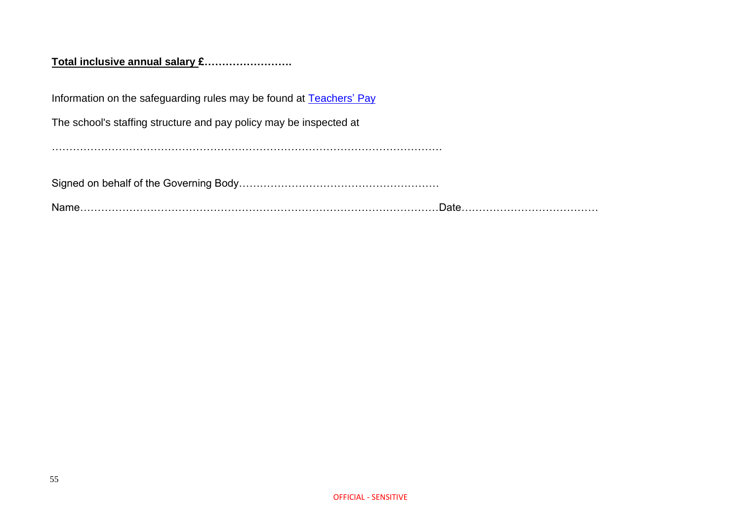#### **Total inclusive annual salary £…………………….**

Information on the safeguarding rules may be found at **Teachers' Pay** 

The school's staffing structure and pay policy may be inspected at

…………………………………………………………………………………………………

Signed on behalf of the Governing Body…………………………………………………

Name…………………………………………………………………………………………Date…………………………………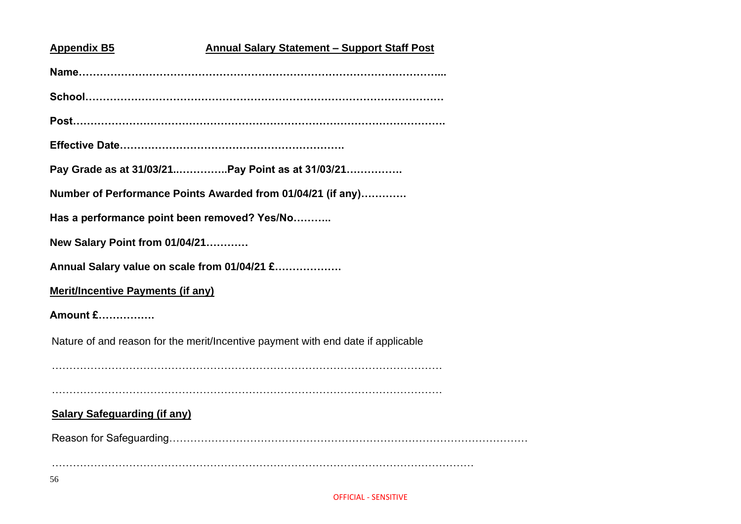# **Appendix B5 Annual Salary Statement – Support Staff Post Name…………………………………………………………………………………………... School………………………………………………………………………………………… Post……………………………………………………………………………………………. Effective Date………………………………………………………. Pay Grade as at 31/03/21..…………..Pay Point as at 31/03/21……………. Number of Performance Points Awarded from 01/04/21 (if any)…………. Has a performance point been removed? Yes/No……….. New Salary Point from 01/04/21………… Annual Salary value on scale from 01/04/21 £………………. Merit/Incentive Payments (if any) Amount £…………….** Nature of and reason for the merit/Incentive payment with end date if applicable ………………………………………………………………………………………………… ………………………………………………………………………………………………… **Salary Safeguarding (if any)** Reason for Safeguarding………………………………………………………………………………………… …………………………………………………………………………………………………………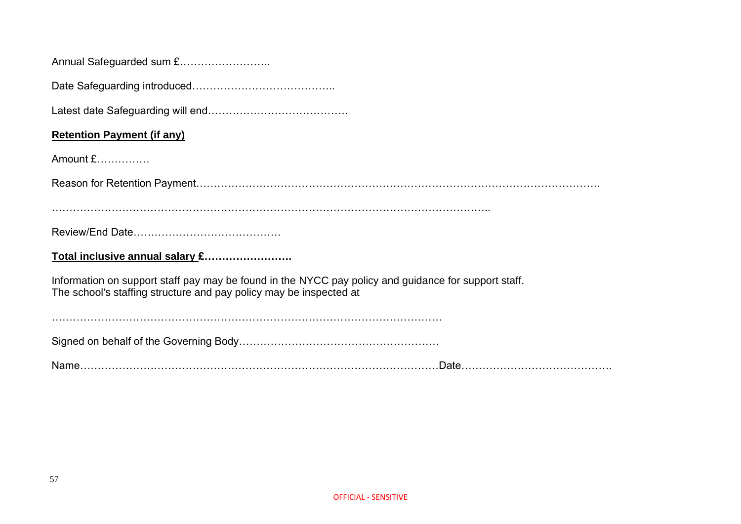| <b>Retention Payment (if any)</b>                                                                                                                                          |
|----------------------------------------------------------------------------------------------------------------------------------------------------------------------------|
| Amount £                                                                                                                                                                   |
|                                                                                                                                                                            |
|                                                                                                                                                                            |
|                                                                                                                                                                            |
| Total inclusive annual salary £                                                                                                                                            |
| Information on support staff pay may be found in the NYCC pay policy and guidance for support staff.<br>The school's staffing structure and pay policy may be inspected at |
|                                                                                                                                                                            |
|                                                                                                                                                                            |

Name…………………………………………………………………………………………Date…………………………………….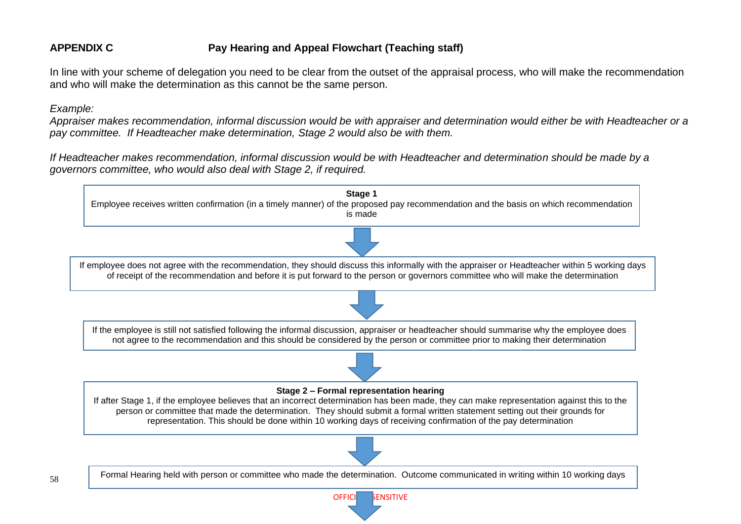#### **APPENDIX C Pay Hearing and Appeal Flowchart (Teaching staff)**

In line with your scheme of delegation you need to be clear from the outset of the appraisal process, who will make the recommendation and who will make the determination as this cannot be the same person.

*Example:*

*Appraiser makes recommendation, informal discussion would be with appraiser and determination would either be with Headteacher or a pay committee. If Headteacher make determination, Stage 2 would also be with them.*

*If Headteacher makes recommendation, informal discussion would be with Headteacher and determination should be made by a governors committee, who would also deal with Stage 2, if required.*